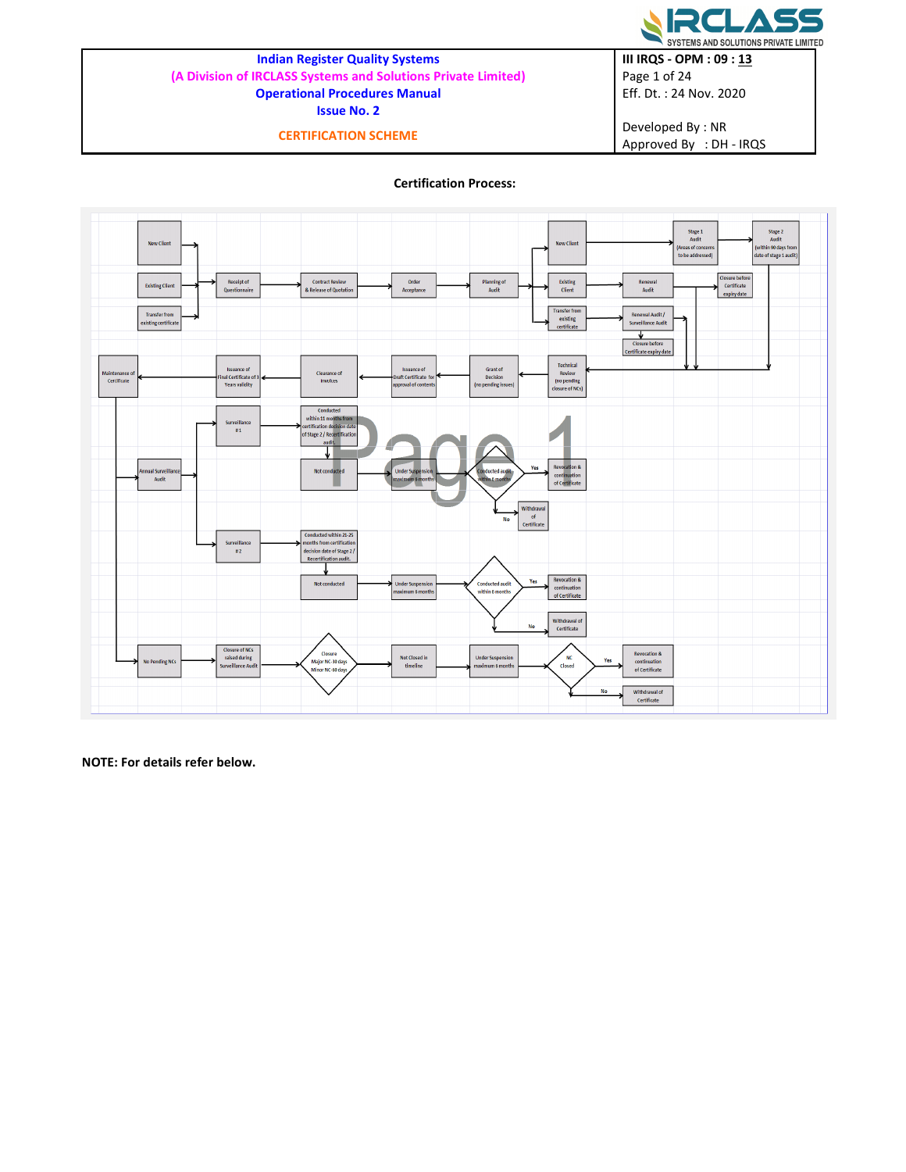

# Indian Register Quality Systems

(A Division of IRCLASS Systems and Solutions Private Limited) Operational Procedures Manual

Issue No. 2

CERTIFICATION SCHEME

III IRQS - OPM : 09 : 13 Page 1 of 24 Eff. Dt. : 24 Nov. 2020

Developed By : NR Approved By : DH - IRQS

# Certification Process:



NOTE: For details refer below.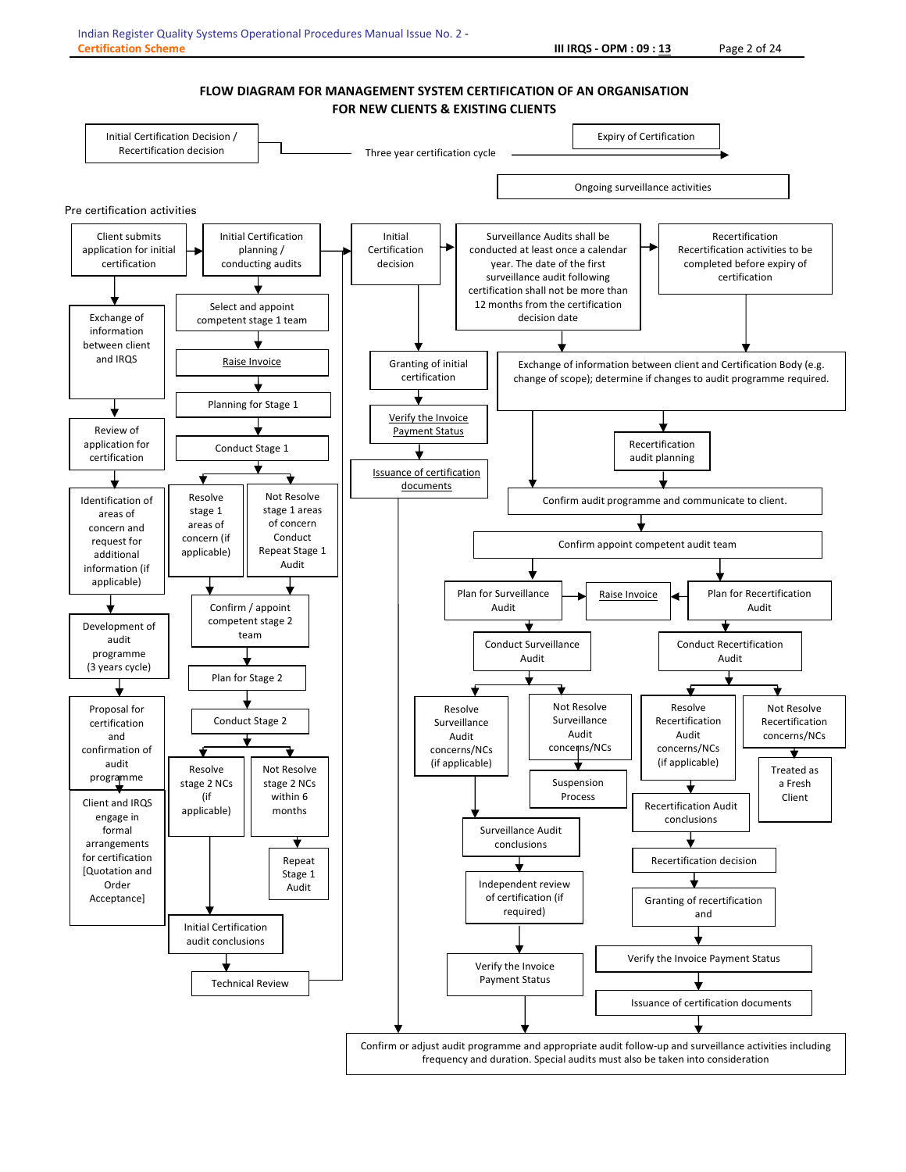#### FLOW DIAGRAM FOR MANAGEMENT SYSTEM CERTIFICATION OF AN ORGANISATION FOR NEW CLIENTS & EXISTING CLIENTS

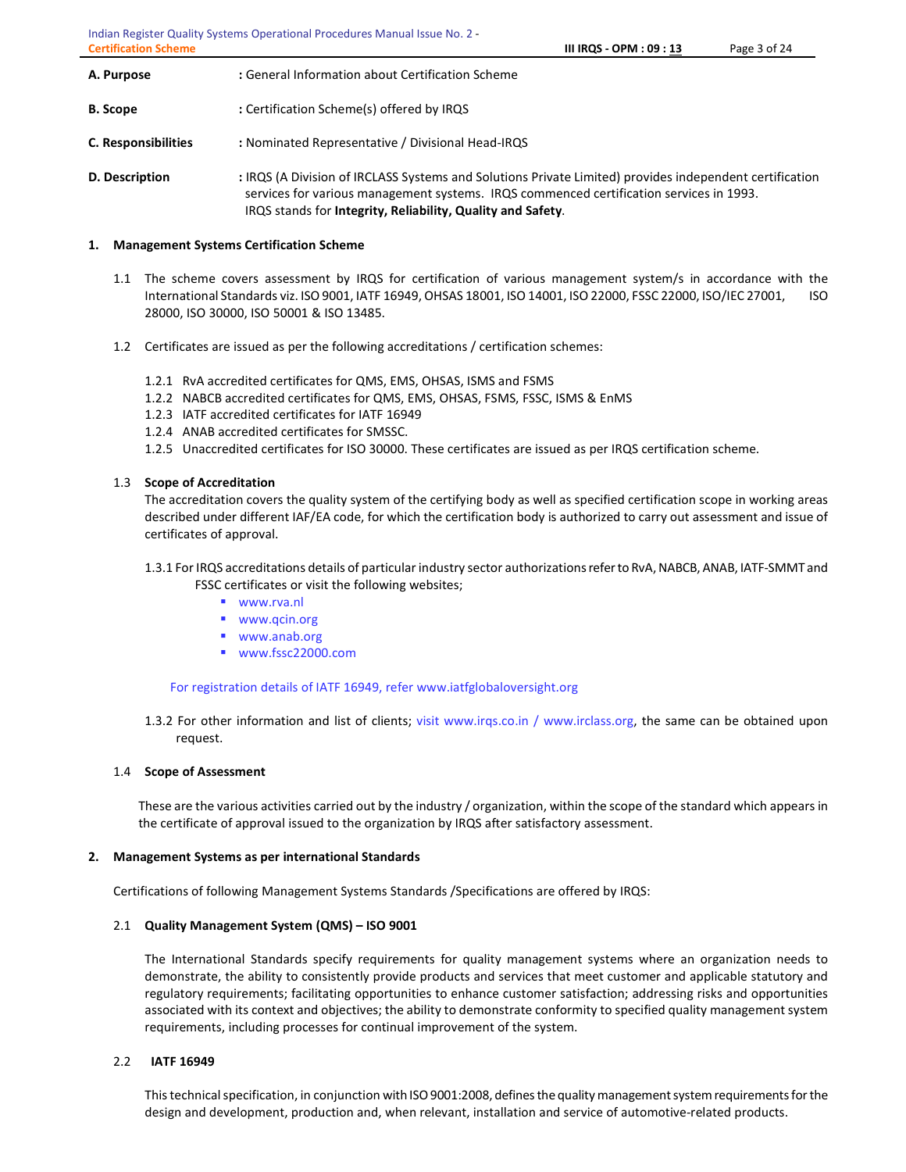Indian Register Quality Systems Operational Procedures Manual Issue No. 2 - Certification Scheme **III IRQS - OPM : 09 : 13** Page 3 of 24

| A. Purpose                 | : General Information about Certification Scheme                                                                                                                                                                                                                  |
|----------------------------|-------------------------------------------------------------------------------------------------------------------------------------------------------------------------------------------------------------------------------------------------------------------|
| <b>B.</b> Scope            | : Certification Scheme(s) offered by IRQS                                                                                                                                                                                                                         |
| <b>C. Responsibilities</b> | : Nominated Representative / Divisional Head-IRQS                                                                                                                                                                                                                 |
| D. Description             | : IRQS (A Division of IRCLASS Systems and Solutions Private Limited) provides independent certification<br>services for various management systems. IRQS commenced certification services in 1993.<br>IRQS stands for Integrity, Reliability, Quality and Safety. |

# 1. Management Systems Certification Scheme

- 1.1 The scheme covers assessment by IRQS for certification of various management system/s in accordance with the International Standards viz. ISO 9001, IATF 16949, OHSAS 18001, ISO 14001, ISO 22000, FSSC 22000, ISO/IEC 27001, ISO 28000, ISO 30000, ISO 50001 & ISO 13485.
- 1.2 Certificates are issued as per the following accreditations / certification schemes:
	- 1.2.1 RvA accredited certificates for QMS, EMS, OHSAS, ISMS and FSMS
	- 1.2.2 NABCB accredited certificates for QMS, EMS, OHSAS, FSMS, FSSC, ISMS & EnMS
	- 1.2.3 IATF accredited certificates for IATF 16949
	- 1.2.4 ANAB accredited certificates for SMSSC.
	- 1.2.5 Unaccredited certificates for ISO 30000. These certificates are issued as per IRQS certification scheme.

# 1.3 Scope of Accreditation

The accreditation covers the quality system of the certifying body as well as specified certification scope in working areas described under different IAF/EA code, for which the certification body is authorized to carry out assessment and issue of certificates of approval.

- 1.3.1 For IRQS accreditations details of particular industry sector authorizations refer to RvA, NABCB, ANAB, IATF-SMMT and FSSC certificates or visit the following websites;
	- www.rva.nl
	- www.qcin.org
	- www.anab.org
	- www.fssc22000.com

For registration details of IATF 16949, refer www.iatfglobaloversight.org

1.3.2 For other information and list of clients; visit www.irqs.co.in / www.irclass.org, the same can be obtained upon request.

#### 1.4 Scope of Assessment

These are the various activities carried out by the industry / organization, within the scope of the standard which appears in the certificate of approval issued to the organization by IRQS after satisfactory assessment.

#### 2. Management Systems as per international Standards

Certifications of following Management Systems Standards /Specifications are offered by IRQS:

# 2.1 Quality Management System (QMS) – ISO 9001

The International Standards specify requirements for quality management systems where an organization needs to demonstrate, the ability to consistently provide products and services that meet customer and applicable statutory and regulatory requirements; facilitating opportunities to enhance customer satisfaction; addressing risks and opportunities associated with its context and objectives; the ability to demonstrate conformity to specified quality management system requirements, including processes for continual improvement of the system.

# 2.2 IATF 16949

This technical specification, in conjunction with ISO 9001:2008, defines the quality management system requirements for the design and development, production and, when relevant, installation and service of automotive-related products.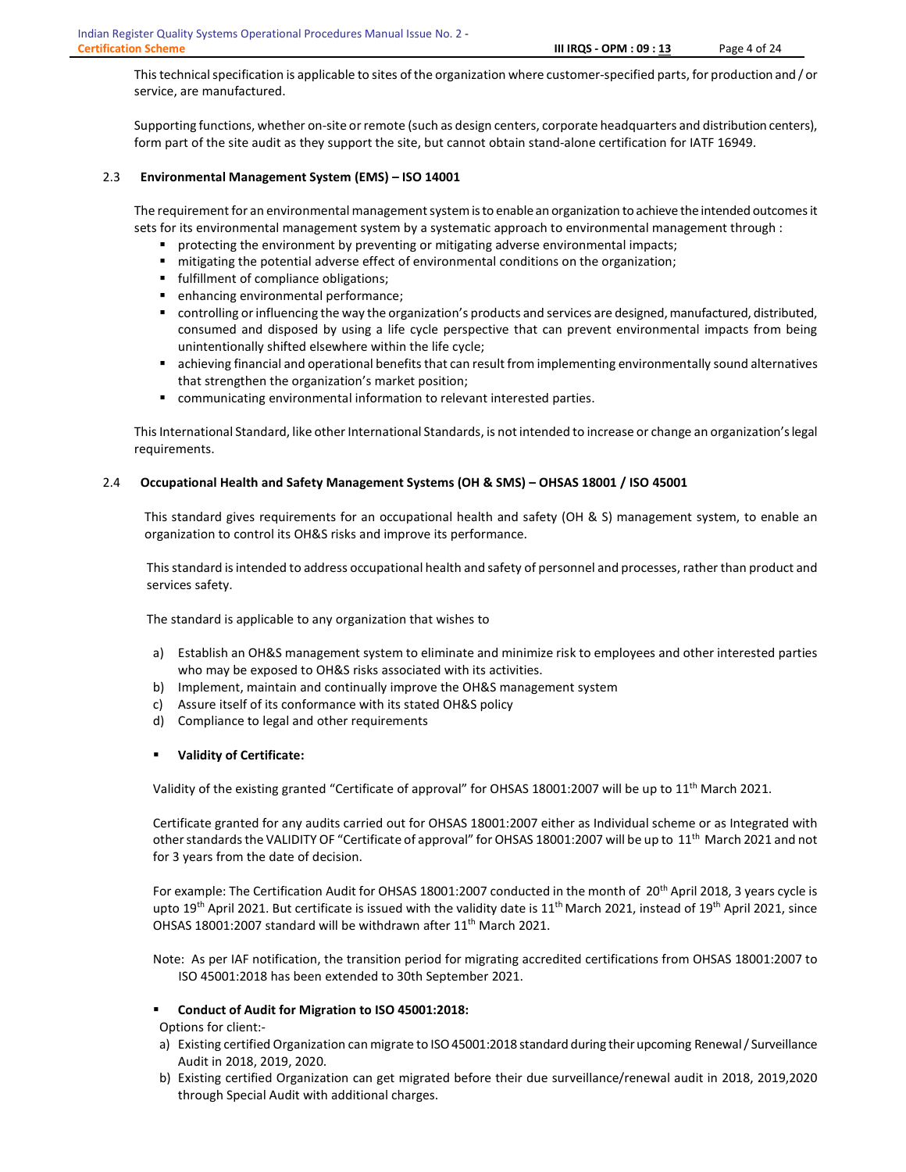This technical specification is applicable to sites of the organization where customer-specified parts, for production and / or service, are manufactured.

Supporting functions, whether on-site or remote (such as design centers, corporate headquarters and distribution centers), form part of the site audit as they support the site, but cannot obtain stand-alone certification for IATF 16949.

## 2.3 Environmental Management System (EMS) – ISO 14001

The requirement for an environmental management system is to enable an organization to achieve the intended outcomes it sets for its environmental management system by a systematic approach to environmental management through :

- **P** protecting the environment by preventing or mitigating adverse environmental impacts;
- mitigating the potential adverse effect of environmental conditions on the organization;
- **fulfillment of compliance obligations;**
- enhancing environmental performance;
- controlling or influencing the way the organization's products and services are designed, manufactured, distributed, consumed and disposed by using a life cycle perspective that can prevent environmental impacts from being unintentionally shifted elsewhere within the life cycle;
- achieving financial and operational benefits that can result from implementing environmentally sound alternatives that strengthen the organization's market position;
- communicating environmental information to relevant interested parties.

This International Standard, like other International Standards, is not intended to increase or change an organization's legal requirements.

#### 2.4 Occupational Health and Safety Management Systems (OH & SMS) – OHSAS 18001 / ISO 45001

This standard gives requirements for an occupational health and safety (OH & S) management system, to enable an organization to control its OH&S risks and improve its performance.

This standard is intended to address occupational health and safety of personnel and processes, rather than product and services safety.

The standard is applicable to any organization that wishes to

- a) Establish an OH&S management system to eliminate and minimize risk to employees and other interested parties who may be exposed to OH&S risks associated with its activities.
- b) Implement, maintain and continually improve the OH&S management system
- c) Assure itself of its conformance with its stated OH&S policy
- d) Compliance to legal and other requirements
- Validity of Certificate:

Validity of the existing granted "Certificate of approval" for OHSAS 18001:2007 will be up to 11<sup>th</sup> March 2021.

Certificate granted for any audits carried out for OHSAS 18001:2007 either as Individual scheme or as Integrated with other standards the VALIDITY OF "Certificate of approval" for OHSAS 18001:2007 will be up to 11th March 2021 and not for 3 years from the date of decision.

For example: The Certification Audit for OHSAS 18001:2007 conducted in the month of 20<sup>th</sup> April 2018, 3 years cycle is upto 19<sup>th</sup> April 2021. But certificate is issued with the validity date is  $11^{th}$  March 2021, instead of 19<sup>th</sup> April 2021, since OHSAS 18001:2007 standard will be withdrawn after 11<sup>th</sup> March 2021.

Note: As per IAF notification, the transition period for migrating accredited certifications from OHSAS 18001:2007 to ISO 45001:2018 has been extended to 30th September 2021.

#### Conduct of Audit for Migration to ISO 45001:2018:

Options for client:-

- a) Existing certified Organization can migrate to ISO 45001:2018 standard during their upcoming Renewal / Surveillance Audit in 2018, 2019, 2020.
- b) Existing certified Organization can get migrated before their due surveillance/renewal audit in 2018, 2019,2020 through Special Audit with additional charges.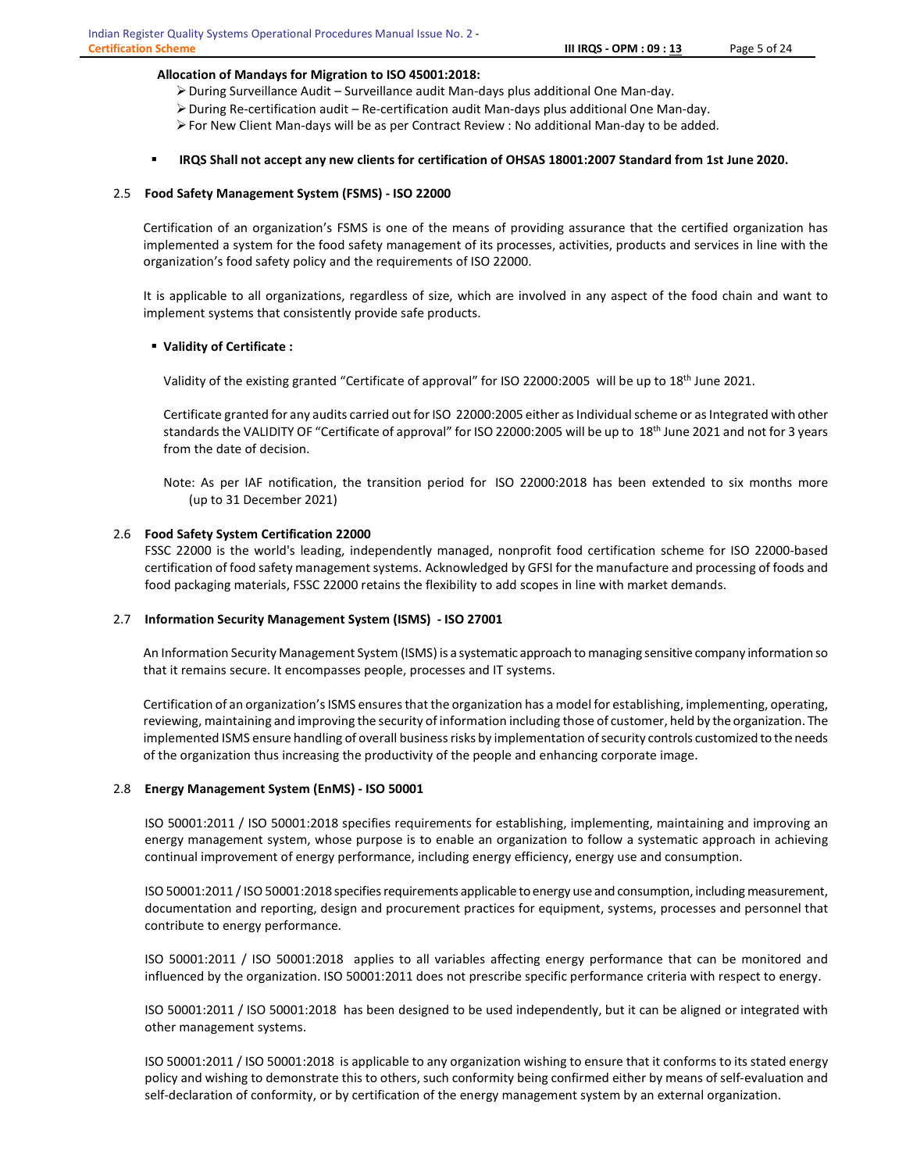#### Allocation of Mandays for Migration to ISO 45001:2018:

- During Surveillance Audit Surveillance audit Man-days plus additional One Man-day.
- $\triangleright$  During Re-certification audit Re-certification audit Man-days plus additional One Man-day.
- For New Client Man-days will be as per Contract Review : No additional Man-day to be added.

## IRQS Shall not accept any new clients for certification of OHSAS 18001:2007 Standard from 1st June 2020.

#### 2.5 Food Safety Management System (FSMS) - ISO 22000

Certification of an organization's FSMS is one of the means of providing assurance that the certified organization has implemented a system for the food safety management of its processes, activities, products and services in line with the organization's food safety policy and the requirements of ISO 22000.

It is applicable to all organizations, regardless of size, which are involved in any aspect of the food chain and want to implement systems that consistently provide safe products.

# Validity of Certificate :

Validity of the existing granted "Certificate of approval" for ISO 22000:2005 will be up to 18th June 2021.

Certificate granted for any audits carried out for ISO 22000:2005 either as Individual scheme or as Integrated with other standards the VALIDITY OF "Certificate of approval" for ISO 22000:2005 will be up to  $18<sup>th</sup>$  June 2021 and not for 3 years from the date of decision.

Note: As per IAF notification, the transition period for ISO 22000:2018 has been extended to six months more (up to 31 December 2021)

#### 2.6 Food Safety System Certification 22000

FSSC 22000 is the world's leading, independently managed, nonprofit food certification scheme for ISO 22000-based certification of food safety management systems. Acknowledged by GFSI for the manufacture and processing of foods and food packaging materials, FSSC 22000 retains the flexibility to add scopes in line with market demands.

#### 2.7 Information Security Management System (ISMS) - ISO 27001

An Information Security Management System (ISMS) is a systematic approach to managing sensitive company information so that it remains secure. It encompasses people, processes and IT systems.

Certification of an organization's ISMS ensures that the organization has a model for establishing, implementing, operating, reviewing, maintaining and improving the security of information including those of customer, held by the organization. The implemented ISMS ensure handling of overall business risks by implementation of security controls customized to the needs of the organization thus increasing the productivity of the people and enhancing corporate image.

#### 2.8 Energy Management System (EnMS) - ISO 50001

ISO 50001:2011 / ISO 50001:2018 specifies requirements for establishing, implementing, maintaining and improving an energy management system, whose purpose is to enable an organization to follow a systematic approach in achieving continual improvement of energy performance, including energy efficiency, energy use and consumption.

ISO 50001:2011 / ISO 50001:2018 specifies requirements applicable to energy use and consumption, including measurement, documentation and reporting, design and procurement practices for equipment, systems, processes and personnel that contribute to energy performance.

ISO 50001:2011 / ISO 50001:2018 applies to all variables affecting energy performance that can be monitored and influenced by the organization. ISO 50001:2011 does not prescribe specific performance criteria with respect to energy.

ISO 50001:2011 / ISO 50001:2018 has been designed to be used independently, but it can be aligned or integrated with other management systems.

ISO 50001:2011 / ISO 50001:2018 is applicable to any organization wishing to ensure that it conforms to its stated energy policy and wishing to demonstrate this to others, such conformity being confirmed either by means of self-evaluation and self-declaration of conformity, or by certification of the energy management system by an external organization.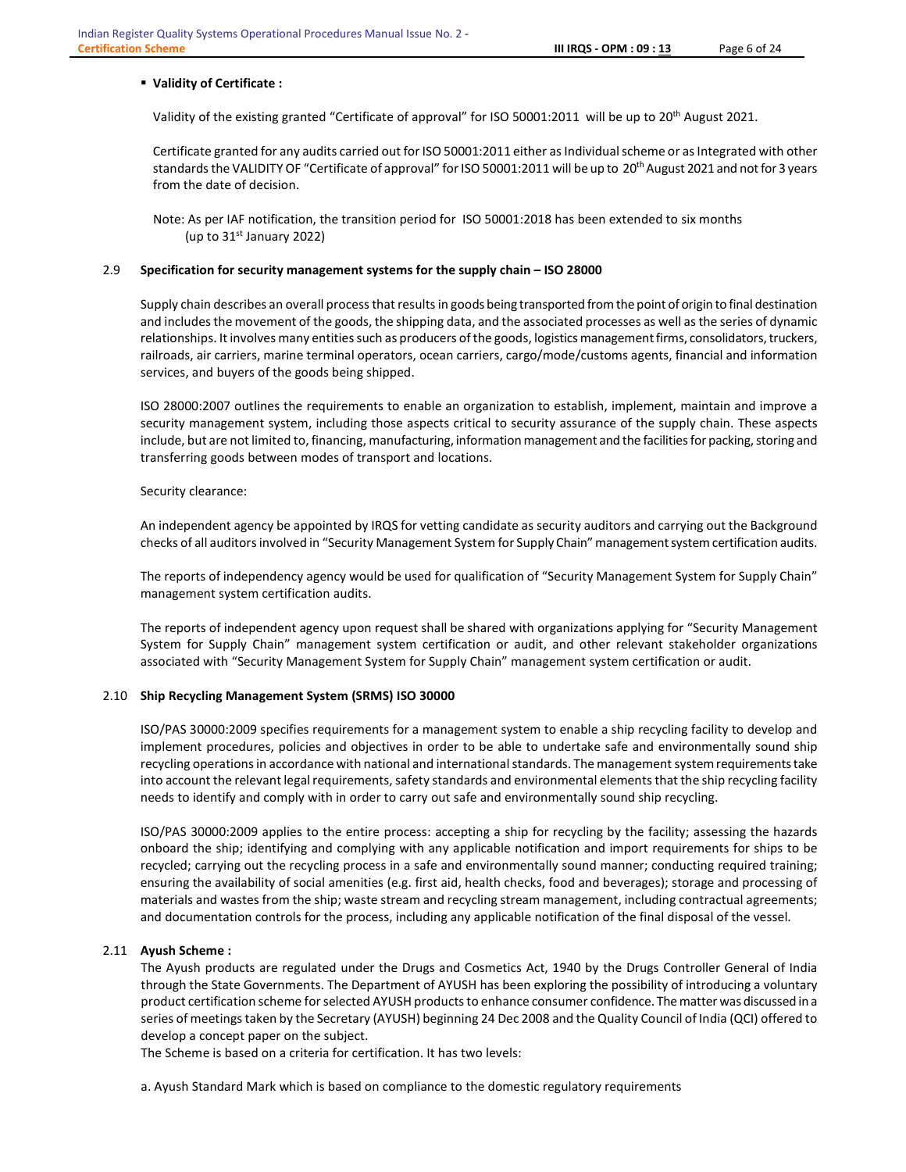#### Validity of Certificate :

Validity of the existing granted "Certificate of approval" for ISO 50001:2011 will be up to 20th August 2021.

Certificate granted for any audits carried out for ISO 50001:2011 either as Individual scheme or as Integrated with other standards the VALIDITY OF "Certificate of approval" for ISO 50001:2011 will be up to 20<sup>th</sup> August 2021 and not for 3 years from the date of decision.

 Note: As per IAF notification, the transition period for ISO 50001:2018 has been extended to six months (up to  $31<sup>st</sup>$  January 2022)

#### 2.9 Specification for security management systems for the supply chain – ISO 28000

Supply chain describes an overall process that results in goods being transported from the point of origin to final destination and includes the movement of the goods, the shipping data, and the associated processes as well as the series of dynamic relationships. It involves many entities such as producers of the goods, logistics management firms, consolidators, truckers, railroads, air carriers, marine terminal operators, ocean carriers, cargo/mode/customs agents, financial and information services, and buyers of the goods being shipped.

ISO 28000:2007 outlines the requirements to enable an organization to establish, implement, maintain and improve a security management system, including those aspects critical to security assurance of the supply chain. These aspects include, but are not limited to, financing, manufacturing, information management and the facilities for packing, storing and transferring goods between modes of transport and locations.

#### Security clearance:

An independent agency be appointed by IRQS for vetting candidate as security auditors and carrying out the Background checks of all auditors involved in "Security Management System for Supply Chain" management system certification audits.

The reports of independency agency would be used for qualification of "Security Management System for Supply Chain" management system certification audits.

 The reports of independent agency upon request shall be shared with organizations applying for "Security Management System for Supply Chain" management system certification or audit, and other relevant stakeholder organizations associated with "Security Management System for Supply Chain" management system certification or audit.

#### 2.10 Ship Recycling Management System (SRMS) ISO 30000

ISO/PAS 30000:2009 specifies requirements for a management system to enable a ship recycling facility to develop and implement procedures, policies and objectives in order to be able to undertake safe and environmentally sound ship recycling operations in accordance with national and international standards. The management system requirements take into account the relevant legal requirements, safety standards and environmental elements that the ship recycling facility needs to identify and comply with in order to carry out safe and environmentally sound ship recycling.

ISO/PAS 30000:2009 applies to the entire process: accepting a ship for recycling by the facility; assessing the hazards onboard the ship; identifying and complying with any applicable notification and import requirements for ships to be recycled; carrying out the recycling process in a safe and environmentally sound manner; conducting required training; ensuring the availability of social amenities (e.g. first aid, health checks, food and beverages); storage and processing of materials and wastes from the ship; waste stream and recycling stream management, including contractual agreements; and documentation controls for the process, including any applicable notification of the final disposal of the vessel.

#### 2.11 Ayush Scheme :

The Ayush products are regulated under the Drugs and Cosmetics Act, 1940 by the Drugs Controller General of India through the State Governments. The Department of AYUSH has been exploring the possibility of introducing a voluntary product certification scheme for selected AYUSH products to enhance consumer confidence. The matter was discussed in a series of meetings taken by the Secretary (AYUSH) beginning 24 Dec 2008 and the Quality Council of India (QCI) offered to develop a concept paper on the subject.

The Scheme is based on a criteria for certification. It has two levels:

a. Ayush Standard Mark which is based on compliance to the domestic regulatory requirements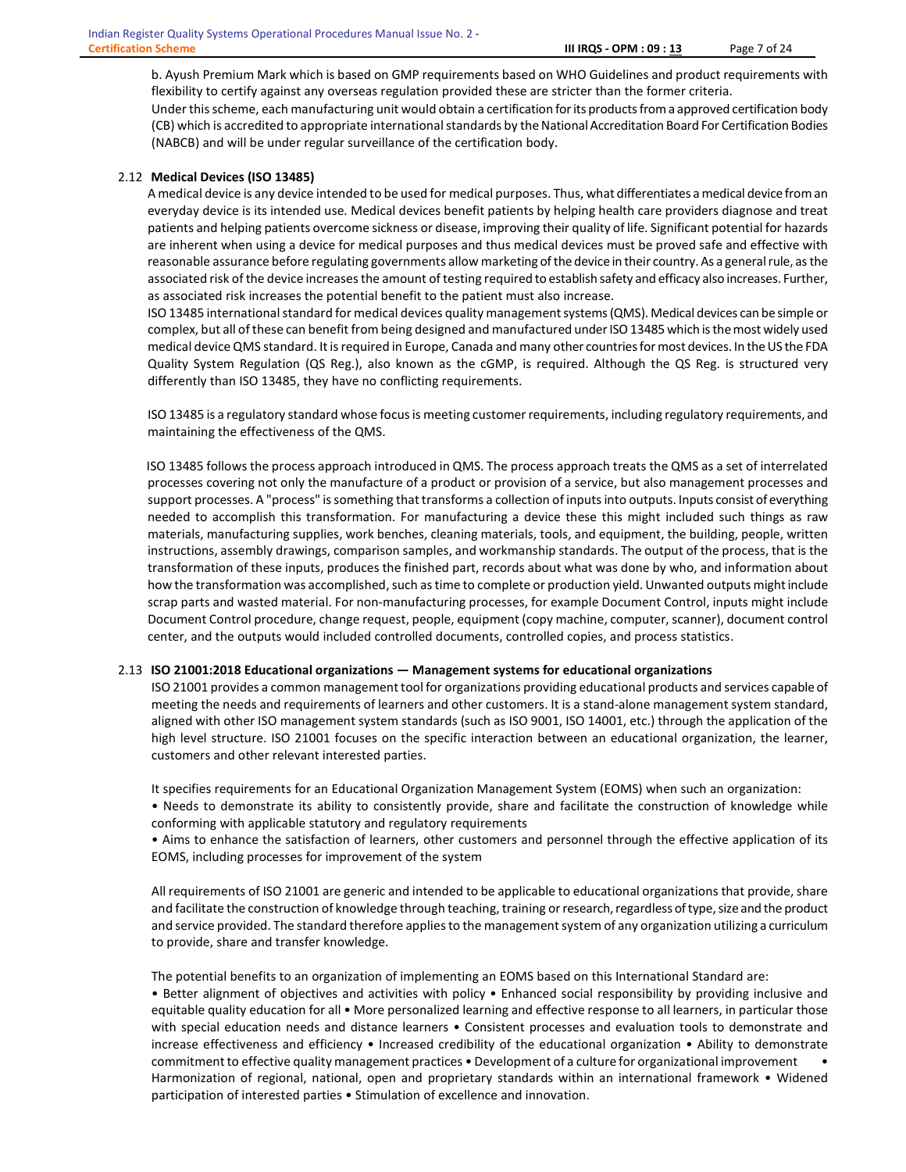b. Ayush Premium Mark which is based on GMP requirements based on WHO Guidelines and product requirements with flexibility to certify against any overseas regulation provided these are stricter than the former criteria.

Under this scheme, each manufacturing unit would obtain a certification for its products from a approved certification body (CB) which is accredited to appropriate international standards by the National Accreditation Board For Certification Bodies (NABCB) and will be under regular surveillance of the certification body.

# 2.12 Medical Devices (ISO 13485)

A medical device is any device intended to be used for medical purposes. Thus, what differentiates a medical device from an everyday device is its intended use. Medical devices benefit patients by helping health care providers diagnose and treat patients and helping patients overcome sickness or disease, improving their quality of life. Significant potential for hazards are inherent when using a device for medical purposes and thus medical devices must be proved safe and effective with reasonable assurance before regulating governments allow marketing of the device in their country. As a general rule, as the associated risk of the device increases the amount of testing required to establish safety and efficacy also increases. Further, as associated risk increases the potential benefit to the patient must also increase.

ISO 13485 international standard for medical devices quality management systems (QMS). Medical devices can be simple or complex, but all of these can benefit from being designed and manufactured under ISO 13485 which is the most widely used medical device QMS standard. It is required in Europe, Canada and many other countries for most devices. In the US the FDA Quality System Regulation (QS Reg.), also known as the cGMP, is required. Although the QS Reg. is structured very differently than ISO 13485, they have no conflicting requirements.

ISO 13485 is a regulatory standard whose focus is meeting customer requirements, including regulatory requirements, and maintaining the effectiveness of the QMS.

 ISO 13485 follows the process approach introduced in QMS. The process approach treats the QMS as a set of interrelated processes covering not only the manufacture of a product or provision of a service, but also management processes and support processes. A "process" is something that transforms a collection of inputs into outputs. Inputs consist of everything needed to accomplish this transformation. For manufacturing a device these this might included such things as raw materials, manufacturing supplies, work benches, cleaning materials, tools, and equipment, the building, people, written instructions, assembly drawings, comparison samples, and workmanship standards. The output of the process, that is the transformation of these inputs, produces the finished part, records about what was done by who, and information about how the transformation was accomplished, such as time to complete or production yield. Unwanted outputs might include scrap parts and wasted material. For non-manufacturing processes, for example Document Control, inputs might include Document Control procedure, change request, people, equipment (copy machine, computer, scanner), document control center, and the outputs would included controlled documents, controlled copies, and process statistics.

#### 2.13 ISO 21001:2018 Educational organizations — Management systems for educational organizations

ISO 21001 provides a common management tool for organizations providing educational products and services capable of meeting the needs and requirements of learners and other customers. It is a stand-alone management system standard, aligned with other ISO management system standards (such as ISO 9001, ISO 14001, etc.) through the application of the high level structure. ISO 21001 focuses on the specific interaction between an educational organization, the learner, customers and other relevant interested parties.

It specifies requirements for an Educational Organization Management System (EOMS) when such an organization:

• Needs to demonstrate its ability to consistently provide, share and facilitate the construction of knowledge while conforming with applicable statutory and regulatory requirements

• Aims to enhance the satisfaction of learners, other customers and personnel through the effective application of its EOMS, including processes for improvement of the system

All requirements of ISO 21001 are generic and intended to be applicable to educational organizations that provide, share and facilitate the construction of knowledge through teaching, training or research, regardless of type, size and the product and service provided. The standard therefore applies to the management system of any organization utilizing a curriculum to provide, share and transfer knowledge.

The potential benefits to an organization of implementing an EOMS based on this International Standard are:

• Better alignment of objectives and activities with policy • Enhanced social responsibility by providing inclusive and equitable quality education for all • More personalized learning and effective response to all learners, in particular those with special education needs and distance learners • Consistent processes and evaluation tools to demonstrate and increase effectiveness and efficiency • Increased credibility of the educational organization • Ability to demonstrate commitment to effective quality management practices • Development of a culture for organizational improvement • Harmonization of regional, national, open and proprietary standards within an international framework • Widened participation of interested parties • Stimulation of excellence and innovation.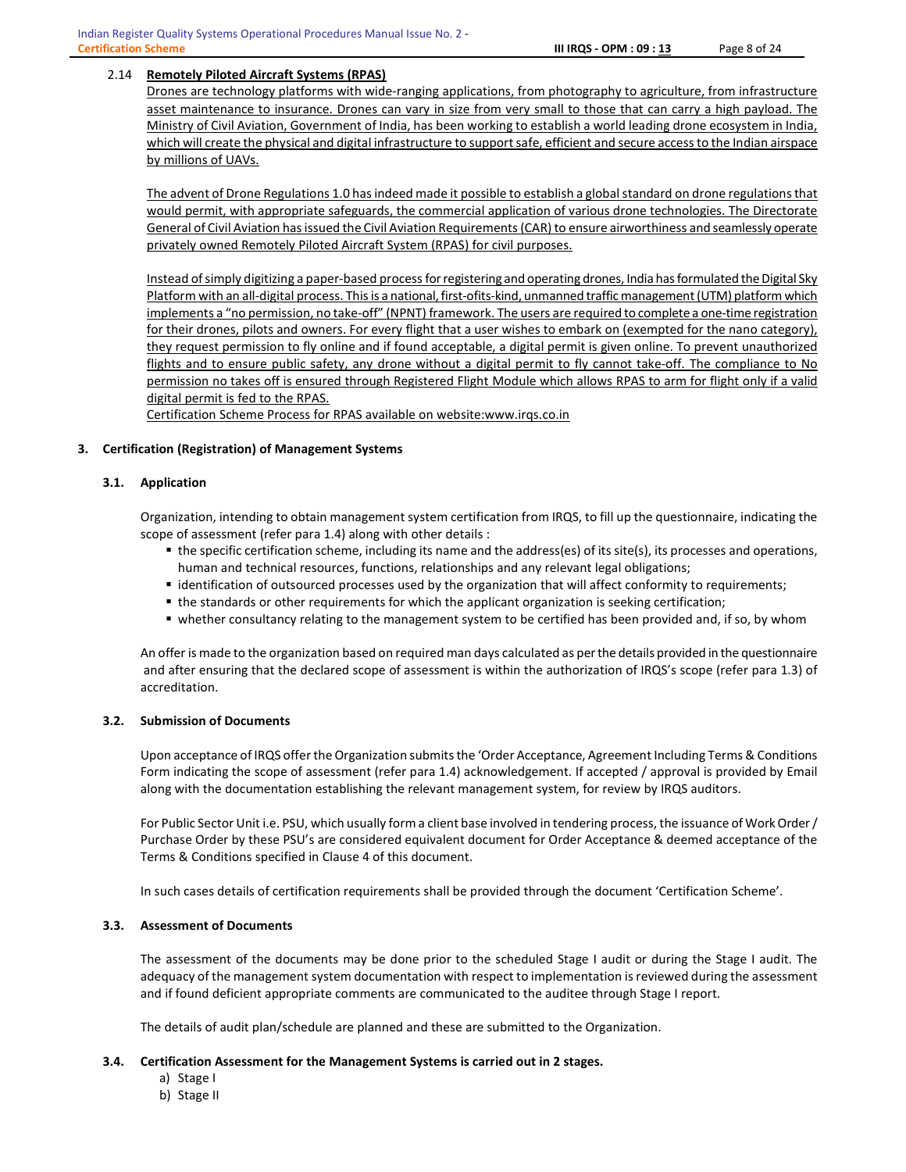# 2.14 Remotely Piloted Aircraft Systems (RPAS)

Drones are technology platforms with wide-ranging applications, from photography to agriculture, from infrastructure asset maintenance to insurance. Drones can vary in size from very small to those that can carry a high payload. The Ministry of Civil Aviation, Government of India, has been working to establish a world leading drone ecosystem in India, which will create the physical and digital infrastructure to support safe, efficient and secure access to the Indian airspace by millions of UAVs.

The advent of Drone Regulations 1.0 has indeed made it possible to establish a global standard on drone regulations that would permit, with appropriate safeguards, the commercial application of various drone technologies. The Directorate General of Civil Aviation has issued the Civil Aviation Requirements (CAR) to ensure airworthiness and seamlessly operate privately owned Remotely Piloted Aircraft System (RPAS) for civil purposes.

Instead of simply digitizing a paper-based process for registering and operating drones, India has formulated the Digital Sky Platform with an all-digital process. This is a national, first-ofits-kind, unmanned traffic management (UTM) platform which implements a "no permission, no take-off" (NPNT) framework. The users are required to complete a one-time registration for their drones, pilots and owners. For every flight that a user wishes to embark on (exempted for the nano category), they request permission to fly online and if found acceptable, a digital permit is given online. To prevent unauthorized flights and to ensure public safety, any drone without a digital permit to fly cannot take-off. The compliance to No permission no takes off is ensured through Registered Flight Module which allows RPAS to arm for flight only if a valid digital permit is fed to the RPAS.

Certification Scheme Process for RPAS available on website:www.irqs.co.in

# 3. Certification (Registration) of Management Systems

#### 3.1. Application

Organization, intending to obtain management system certification from IRQS, to fill up the questionnaire, indicating the scope of assessment (refer para 1.4) along with other details :

- the specific certification scheme, including its name and the address(es) of its site(s), its processes and operations, human and technical resources, functions, relationships and any relevant legal obligations;
- identification of outsourced processes used by the organization that will affect conformity to requirements;
- the standards or other requirements for which the applicant organization is seeking certification;
- whether consultancy relating to the management system to be certified has been provided and, if so, by whom

An offer is made to the organization based on required man days calculated as per the details provided in the questionnaire and after ensuring that the declared scope of assessment is within the authorization of IRQS's scope (refer para 1.3) of accreditation.

#### 3.2. Submission of Documents

Upon acceptance of IRQS offer the Organization submits the 'Order Acceptance, Agreement Including Terms & Conditions Form indicating the scope of assessment (refer para 1.4) acknowledgement. If accepted / approval is provided by Email along with the documentation establishing the relevant management system, for review by IRQS auditors.

For Public Sector Unit i.e. PSU, which usually form a client base involved in tendering process, the issuance of Work Order / Purchase Order by these PSU's are considered equivalent document for Order Acceptance & deemed acceptance of the Terms & Conditions specified in Clause 4 of this document.

In such cases details of certification requirements shall be provided through the document 'Certification Scheme'.

# 3.3. Assessment of Documents

The assessment of the documents may be done prior to the scheduled Stage I audit or during the Stage I audit. The adequacy of the management system documentation with respect to implementation is reviewed during the assessment and if found deficient appropriate comments are communicated to the auditee through Stage I report.

The details of audit plan/schedule are planned and these are submitted to the Organization.

#### 3.4. Certification Assessment for the Management Systems is carried out in 2 stages.

- a) Stage I
- b) Stage II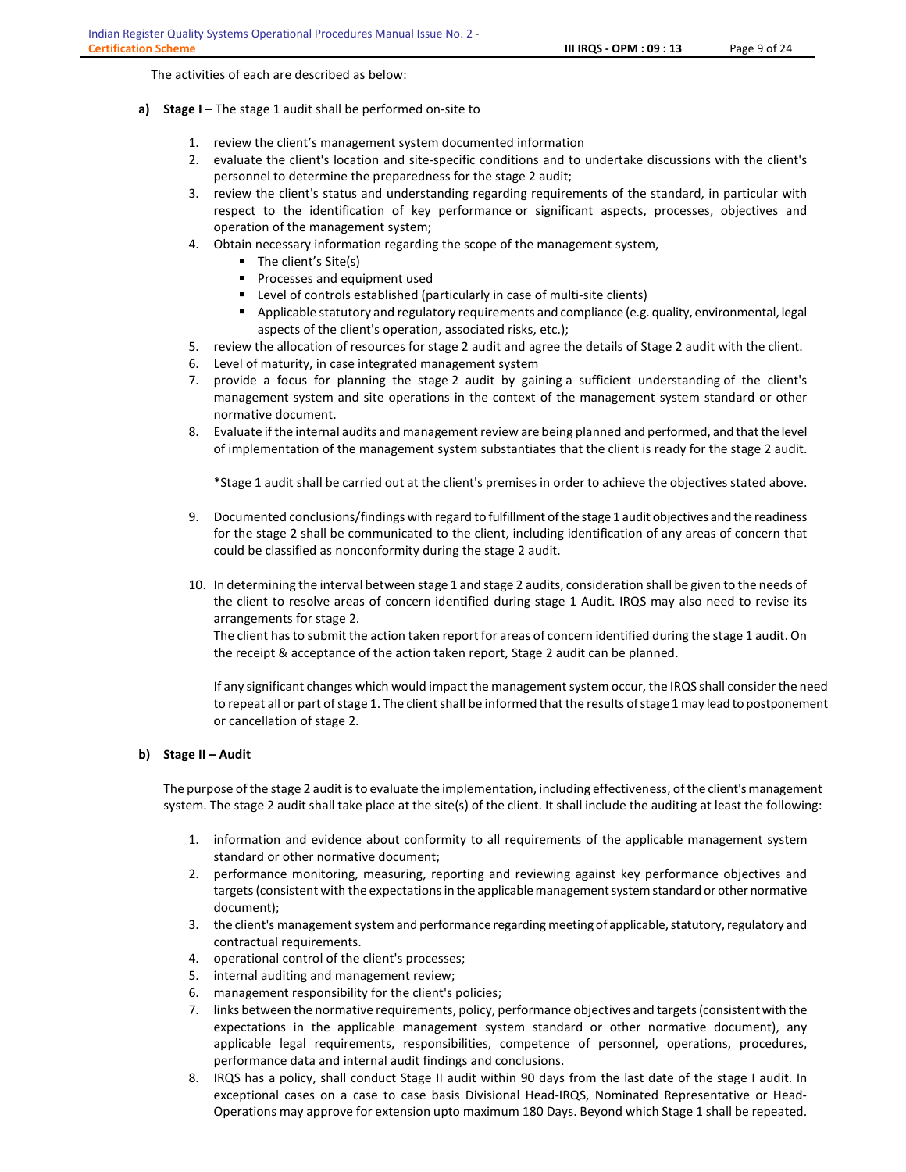The activities of each are described as below:

- a) Stage I The stage 1 audit shall be performed on-site to
	- 1. review the client's management system documented information
	- 2. evaluate the client's location and site-specific conditions and to undertake discussions with the client's personnel to determine the preparedness for the stage 2 audit;
	- 3. review the client's status and understanding regarding requirements of the standard, in particular with respect to the identification of key performance or significant aspects, processes, objectives and operation of the management system;
	- 4. Obtain necessary information regarding the scope of the management system,
		- The client's Site(s)
		- **Processes and equipment used**
		- Level of controls established (particularly in case of multi-site clients)
		- **Applicable statutory and regulatory requirements and compliance (e.g. quality, environmental, legal** aspects of the client's operation, associated risks, etc.);
	- 5. review the allocation of resources for stage 2 audit and agree the details of Stage 2 audit with the client.
	- 6. Level of maturity, in case integrated management system
	- 7. provide a focus for planning the stage 2 audit by gaining a sufficient understanding of the client's management system and site operations in the context of the management system standard or other normative document.
	- 8. Evaluate if the internal audits and management review are being planned and performed, and that the level of implementation of the management system substantiates that the client is ready for the stage 2 audit.

\*Stage 1 audit shall be carried out at the client's premises in order to achieve the objectives stated above.

- 9. Documented conclusions/findings with regard to fulfillment of the stage 1 audit objectives and the readiness for the stage 2 shall be communicated to the client, including identification of any areas of concern that could be classified as nonconformity during the stage 2 audit.
- 10. In determining the interval between stage 1 and stage 2 audits, consideration shall be given to the needs of the client to resolve areas of concern identified during stage 1 Audit. IRQS may also need to revise its arrangements for stage 2.

The client has to submit the action taken report for areas of concern identified during the stage 1 audit. On the receipt & acceptance of the action taken report, Stage 2 audit can be planned.

If any significant changes which would impact the management system occur, the IRQS shall consider the need to repeat all or part of stage 1. The client shall be informed that the results of stage 1 may lead to postponement or cancellation of stage 2.

# b) Stage II – Audit

The purpose of the stage 2 audit is to evaluate the implementation, including effectiveness, of the client's management system. The stage 2 audit shall take place at the site(s) of the client. It shall include the auditing at least the following:

- 1. information and evidence about conformity to all requirements of the applicable management system standard or other normative document;
- 2. performance monitoring, measuring, reporting and reviewing against key performance objectives and targets (consistent with the expectations in the applicable management system standard or other normative document);
- 3. the client's management system and performance regarding meeting of applicable, statutory, regulatory and contractual requirements.
- 4. operational control of the client's processes;
- 5. internal auditing and management review;
- 6. management responsibility for the client's policies;
- 7. links between the normative requirements, policy, performance objectives and targets (consistent with the expectations in the applicable management system standard or other normative document), any applicable legal requirements, responsibilities, competence of personnel, operations, procedures, performance data and internal audit findings and conclusions.
- 8. IRQS has a policy, shall conduct Stage II audit within 90 days from the last date of the stage I audit. In exceptional cases on a case to case basis Divisional Head-IRQS, Nominated Representative or Head-Operations may approve for extension upto maximum 180 Days. Beyond which Stage 1 shall be repeated.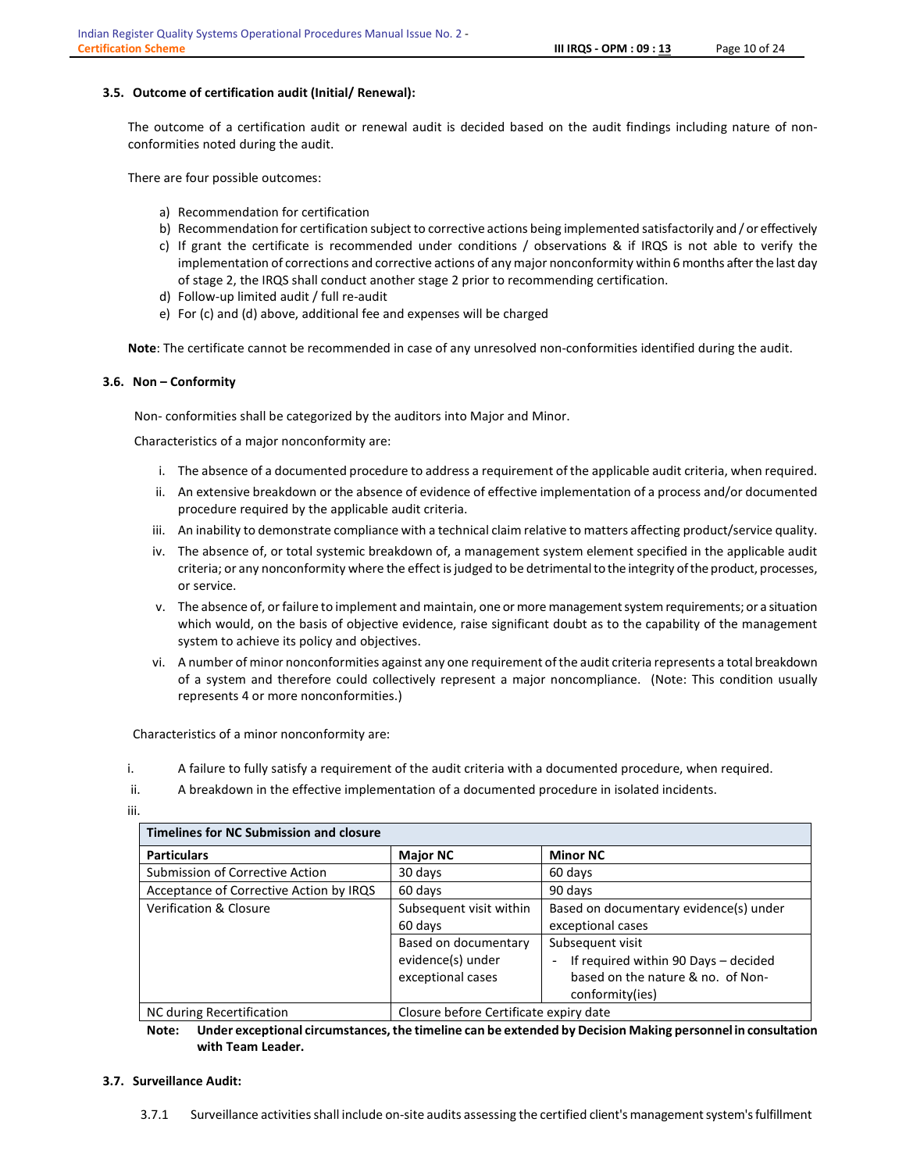### 3.5. Outcome of certification audit (Initial/ Renewal):

The outcome of a certification audit or renewal audit is decided based on the audit findings including nature of nonconformities noted during the audit.

There are four possible outcomes:

- a) Recommendation for certification
- b) Recommendation for certification subject to corrective actions being implemented satisfactorily and / or effectively
- c) If grant the certificate is recommended under conditions / observations & if IRQS is not able to verify the implementation of corrections and corrective actions of any major nonconformity within 6 months after the last day of stage 2, the IRQS shall conduct another stage 2 prior to recommending certification.
- d) Follow-up limited audit / full re-audit
- e) For (c) and (d) above, additional fee and expenses will be charged

Note: The certificate cannot be recommended in case of any unresolved non-conformities identified during the audit.

#### 3.6. Non – Conformity

Non- conformities shall be categorized by the auditors into Major and Minor.

Characteristics of a major nonconformity are:

- i. The absence of a documented procedure to address a requirement of the applicable audit criteria, when required.
- ii. An extensive breakdown or the absence of evidence of effective implementation of a process and/or documented procedure required by the applicable audit criteria.
- iii. An inability to demonstrate compliance with a technical claim relative to matters affecting product/service quality.
- iv. The absence of, or total systemic breakdown of, a management system element specified in the applicable audit criteria; or any nonconformity where the effect is judged to be detrimental to the integrity of the product, processes, or service.
- v. The absence of, or failure to implement and maintain, one or more management system requirements; or a situation which would, on the basis of objective evidence, raise significant doubt as to the capability of the management system to achieve its policy and objectives.
- vi. A number of minor nonconformities against any one requirement of the audit criteria represents a total breakdown of a system and therefore could collectively represent a major noncompliance. (Note: This condition usually represents 4 or more nonconformities.)

Characteristics of a minor nonconformity are:

i. A failure to fully satisfy a requirement of the audit criteria with a documented procedure, when required.

```
ii. A breakdown in the effective implementation of a documented procedure in isolated incidents.
```
iii.

| <b>Timelines for NC Submission and closure</b> |                                        |                                                                  |  |  |  |
|------------------------------------------------|----------------------------------------|------------------------------------------------------------------|--|--|--|
| <b>Particulars</b>                             | <b>Major NC</b>                        | <b>Minor NC</b>                                                  |  |  |  |
| Submission of Corrective Action                | 30 days                                | 60 days                                                          |  |  |  |
| Acceptance of Corrective Action by IRQS        | 60 days                                | 90 days                                                          |  |  |  |
| Verification & Closure                         | Subsequent visit within                | Based on documentary evidence(s) under                           |  |  |  |
|                                                | 60 days                                | exceptional cases                                                |  |  |  |
|                                                | Based on documentary                   | Subsequent visit                                                 |  |  |  |
|                                                | evidence(s) under                      | If required within 90 Days - decided<br>$\overline{\phantom{0}}$ |  |  |  |
|                                                | exceptional cases                      | based on the nature & no. of Non-                                |  |  |  |
|                                                |                                        | conformity(ies)                                                  |  |  |  |
| NC during Recertification                      | Closure before Certificate expiry date |                                                                  |  |  |  |

Note: Under exceptional circumstances, the timeline can be extended by Decision Making personnel in consultation with Team Leader.

#### 3.7. Surveillance Audit: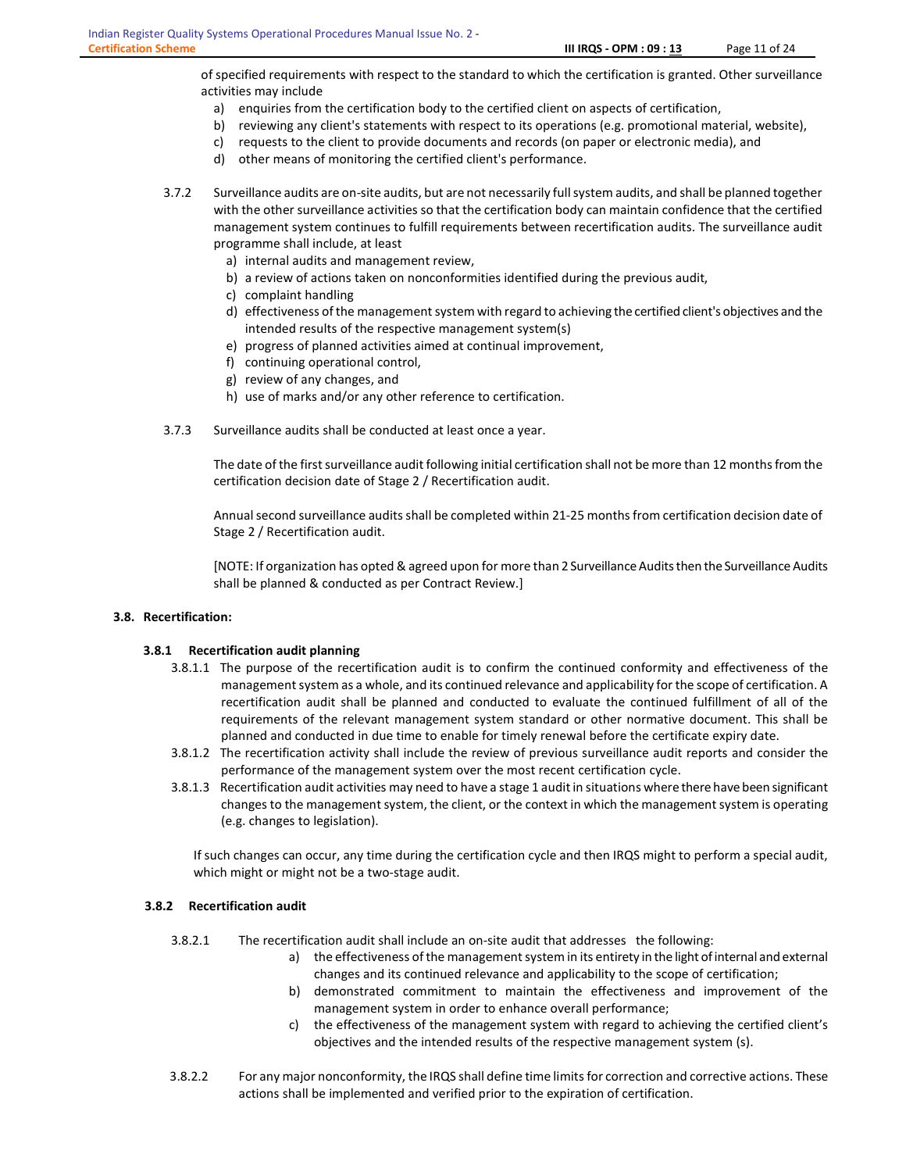of specified requirements with respect to the standard to which the certification is granted. Other surveillance

- activities may include
	- a) enquiries from the certification body to the certified client on aspects of certification,
	- b) reviewing any client's statements with respect to its operations (e.g. promotional material, website),
	- c) requests to the client to provide documents and records (on paper or electronic media), and
	- d) other means of monitoring the certified client's performance.

3.7.2 Surveillance audits are on-site audits, but are not necessarily full system audits, and shall be planned together with the other surveillance activities so that the certification body can maintain confidence that the certified management system continues to fulfill requirements between recertification audits. The surveillance audit programme shall include, at least

- a) internal audits and management review,
- b) a review of actions taken on nonconformities identified during the previous audit,
- c) complaint handling
- d) effectiveness of the management system with regard to achieving the certified client's objectives and the intended results of the respective management system(s)
- e) progress of planned activities aimed at continual improvement,
- f) continuing operational control,
- g) review of any changes, and
- h) use of marks and/or any other reference to certification.
- 3.7.3 Surveillance audits shall be conducted at least once a year.

The date of the first surveillance audit following initial certification shall not be more than 12 months from the certification decision date of Stage 2 / Recertification audit.

Annual second surveillance audits shall be completed within 21-25 months from certification decision date of Stage 2 / Recertification audit.

[NOTE: If organization has opted & agreed upon for more than 2 Surveillance Audits then the Surveillance Audits shall be planned & conducted as per Contract Review.]

# 3.8. Recertification:

# 3.8.1 Recertification audit planning

- 3.8.1.1 The purpose of the recertification audit is to confirm the continued conformity and effectiveness of the management system as a whole, and its continued relevance and applicability for the scope of certification. A recertification audit shall be planned and conducted to evaluate the continued fulfillment of all of the requirements of the relevant management system standard or other normative document. This shall be planned and conducted in due time to enable for timely renewal before the certificate expiry date.
- 3.8.1.2 The recertification activity shall include the review of previous surveillance audit reports and consider the performance of the management system over the most recent certification cycle.
- 3.8.1.3 Recertification audit activities may need to have a stage 1 audit in situations where there have been significant changes to the management system, the client, or the context in which the management system is operating (e.g. changes to legislation).

If such changes can occur, any time during the certification cycle and then IRQS might to perform a special audit, which might or might not be a two-stage audit.

#### 3.8.2 Recertification audit

- 3.8.2.1 The recertification audit shall include an on-site audit that addresses the following:
	- a) the effectiveness of the management system in its entirety in the light of internal and external changes and its continued relevance and applicability to the scope of certification;
	- b) demonstrated commitment to maintain the effectiveness and improvement of the management system in order to enhance overall performance;
	- c) the effectiveness of the management system with regard to achieving the certified client's objectives and the intended results of the respective management system (s).
- 3.8.2.2 For any major nonconformity, the IRQS shall define time limits for correction and corrective actions. These actions shall be implemented and verified prior to the expiration of certification.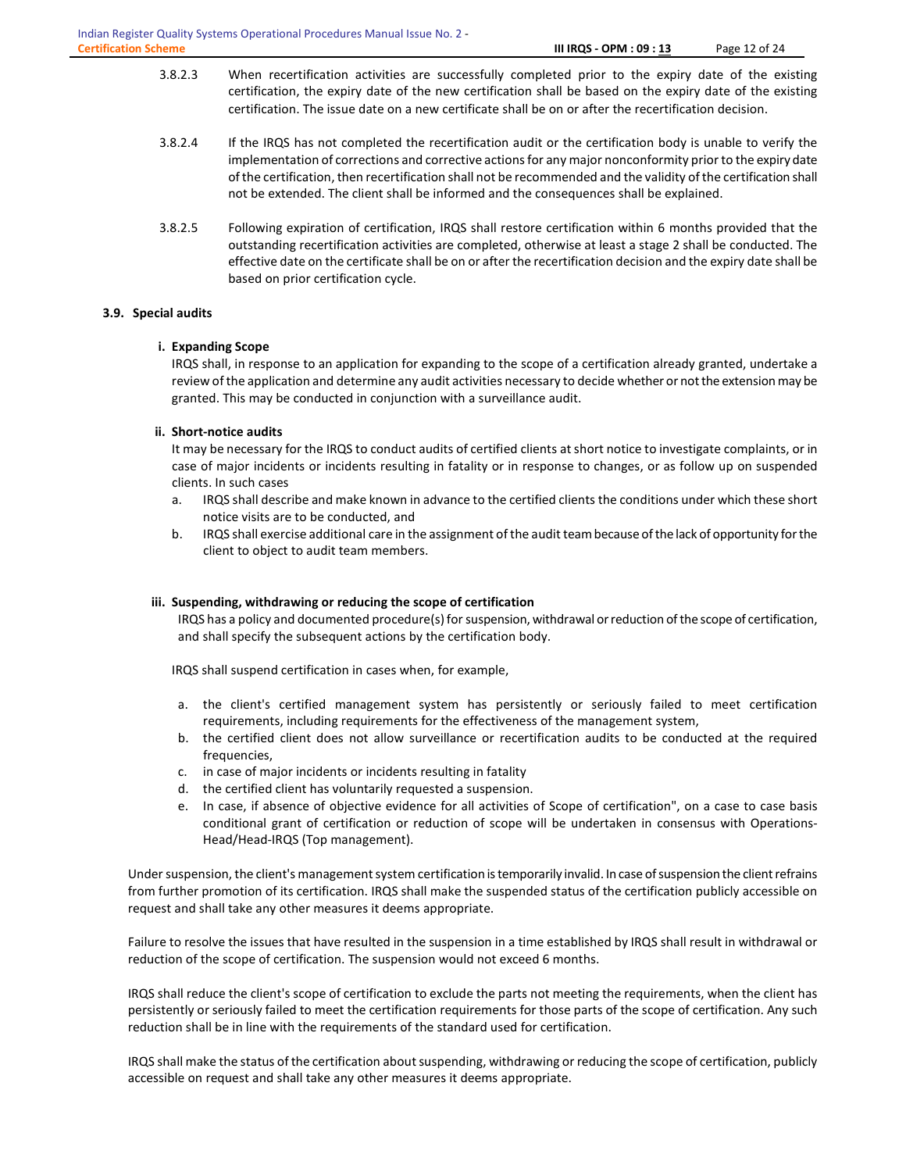- 3.8.2.3 When recertification activities are successfully completed prior to the expiry date of the existing certification, the expiry date of the new certification shall be based on the expiry date of the existing certification. The issue date on a new certificate shall be on or after the recertification decision.
- 3.8.2.4 If the IRQS has not completed the recertification audit or the certification body is unable to verify the implementation of corrections and corrective actions for any major nonconformity prior to the expiry date of the certification, then recertification shall not be recommended and the validity of the certification shall not be extended. The client shall be informed and the consequences shall be explained.
- 3.8.2.5 Following expiration of certification, IRQS shall restore certification within 6 months provided that the outstanding recertification activities are completed, otherwise at least a stage 2 shall be conducted. The effective date on the certificate shall be on or after the recertification decision and the expiry date shall be based on prior certification cycle.

# 3.9. Special audits

# i. Expanding Scope

IRQS shall, in response to an application for expanding to the scope of a certification already granted, undertake a review of the application and determine any audit activities necessary to decide whether or not the extension may be granted. This may be conducted in conjunction with a surveillance audit.

# ii. Short-notice audits

It may be necessary for the IRQS to conduct audits of certified clients at short notice to investigate complaints, or in case of major incidents or incidents resulting in fatality or in response to changes, or as follow up on suspended clients. In such cases

- a. IRQS shall describe and make known in advance to the certified clients the conditions under which these short notice visits are to be conducted, and
- b. IRQS shall exercise additional care in the assignment of the audit team because of the lack of opportunity for the client to object to audit team members.

# iii. Suspending, withdrawing or reducing the scope of certification

IRQS has a policy and documented procedure(s) for suspension, withdrawal or reduction of the scope of certification, and shall specify the subsequent actions by the certification body.

IRQS shall suspend certification in cases when, for example,

- a. the client's certified management system has persistently or seriously failed to meet certification requirements, including requirements for the effectiveness of the management system,
- b. the certified client does not allow surveillance or recertification audits to be conducted at the required frequencies,
- c. in case of major incidents or incidents resulting in fatality
- d. the certified client has voluntarily requested a suspension.
- e. In case, if absence of objective evidence for all activities of Scope of certification", on a case to case basis conditional grant of certification or reduction of scope will be undertaken in consensus with Operations-Head/Head-IRQS (Top management).

Under suspension, the client's management system certification is temporarily invalid. In case of suspension the client refrains from further promotion of its certification. IRQS shall make the suspended status of the certification publicly accessible on request and shall take any other measures it deems appropriate.

Failure to resolve the issues that have resulted in the suspension in a time established by IRQS shall result in withdrawal or reduction of the scope of certification. The suspension would not exceed 6 months.

IRQS shall reduce the client's scope of certification to exclude the parts not meeting the requirements, when the client has persistently or seriously failed to meet the certification requirements for those parts of the scope of certification. Any such reduction shall be in line with the requirements of the standard used for certification.

IRQS shall make the status of the certification about suspending, withdrawing or reducing the scope of certification, publicly accessible on request and shall take any other measures it deems appropriate.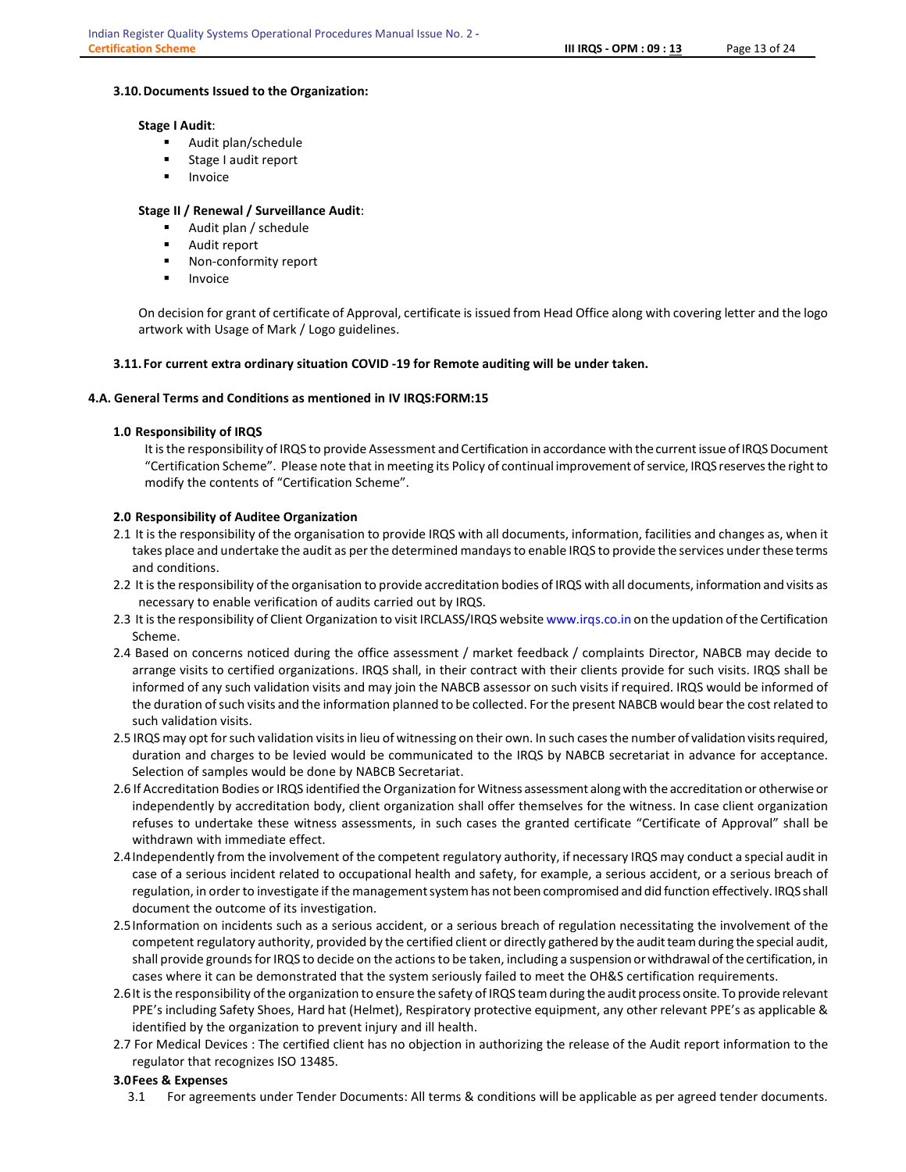#### 3.10.Documents Issued to the Organization:

#### Stage I Audit:

- Audit plan/schedule
- Stage I audit report
- Invoice

# Stage II / Renewal / Surveillance Audit:

- Audit plan / schedule
- Audit report
- **Non-conformity report**
- Invoice

On decision for grant of certificate of Approval, certificate is issued from Head Office along with covering letter and the logo artwork with Usage of Mark / Logo guidelines.

# 3.11. For current extra ordinary situation COVID -19 for Remote auditing will be under taken.

#### 4.A. General Terms and Conditions as mentioned in IV IRQS:FORM:15

#### 1.0 Responsibility of IRQS

It is the responsibility of IRQS to provide Assessment and Certification in accordance with the current issue of IRQS Document "Certification Scheme". Please note that in meeting its Policy of continual improvement of service, IRQS reserves the right to modify the contents of "Certification Scheme".

# 2.0 Responsibility of Auditee Organization

- 2.1 It is the responsibility of the organisation to provide IRQS with all documents, information, facilities and changes as, when it takes place and undertake the audit as per the determined mandays to enable IRQS to provide the services under these terms and conditions.
- 2.2 It is the responsibility of the organisation to provide accreditation bodies of IRQS with all documents, information and visits as necessary to enable verification of audits carried out by IRQS.
- 2.3 It is the responsibility of Client Organization to visit IRCLASS/IRQS website www.irqs.co.in on the updation of the Certification Scheme.
- 2.4 Based on concerns noticed during the office assessment / market feedback / complaints Director, NABCB may decide to arrange visits to certified organizations. IRQS shall, in their contract with their clients provide for such visits. IRQS shall be informed of any such validation visits and may join the NABCB assessor on such visits if required. IRQS would be informed of the duration of such visits and the information planned to be collected. For the present NABCB would bear the cost related to such validation visits.
- 2.5 IRQS may opt for such validation visits in lieu of witnessing on their own. In such cases the number of validation visits required, duration and charges to be levied would be communicated to the IRQS by NABCB secretariat in advance for acceptance. Selection of samples would be done by NABCB Secretariat.
- 2.6 If Accreditation Bodies or IRQS identified the Organization for Witness assessment along with the accreditation or otherwise or independently by accreditation body, client organization shall offer themselves for the witness. In case client organization refuses to undertake these witness assessments, in such cases the granted certificate "Certificate of Approval" shall be withdrawn with immediate effect.
- 2.4Independently from the involvement of the competent regulatory authority, if necessary IRQS may conduct a special audit in case of a serious incident related to occupational health and safety, for example, a serious accident, or a serious breach of regulation, in order to investigate if the management system has not been compromised and did function effectively. IRQS shall document the outcome of its investigation.
- 2.5Information on incidents such as a serious accident, or a serious breach of regulation necessitating the involvement of the competent regulatory authority, provided by the certified client or directly gathered by the audit team during the special audit, shall provide grounds for IRQS to decide on the actions to be taken, including a suspension or withdrawal of the certification, in cases where it can be demonstrated that the system seriously failed to meet the OH&S certification requirements.
- 2.6It is the responsibility of the organization to ensure the safety of IRQS team during the audit process onsite. To provide relevant PPE's including Safety Shoes, Hard hat (Helmet), Respiratory protective equipment, any other relevant PPE's as applicable & identified by the organization to prevent injury and ill health.
- 2.7 For Medical Devices : The certified client has no objection in authorizing the release of the Audit report information to the regulator that recognizes ISO 13485.

#### 3.0Fees & Expenses

3.1 For agreements under Tender Documents: All terms & conditions will be applicable as per agreed tender documents.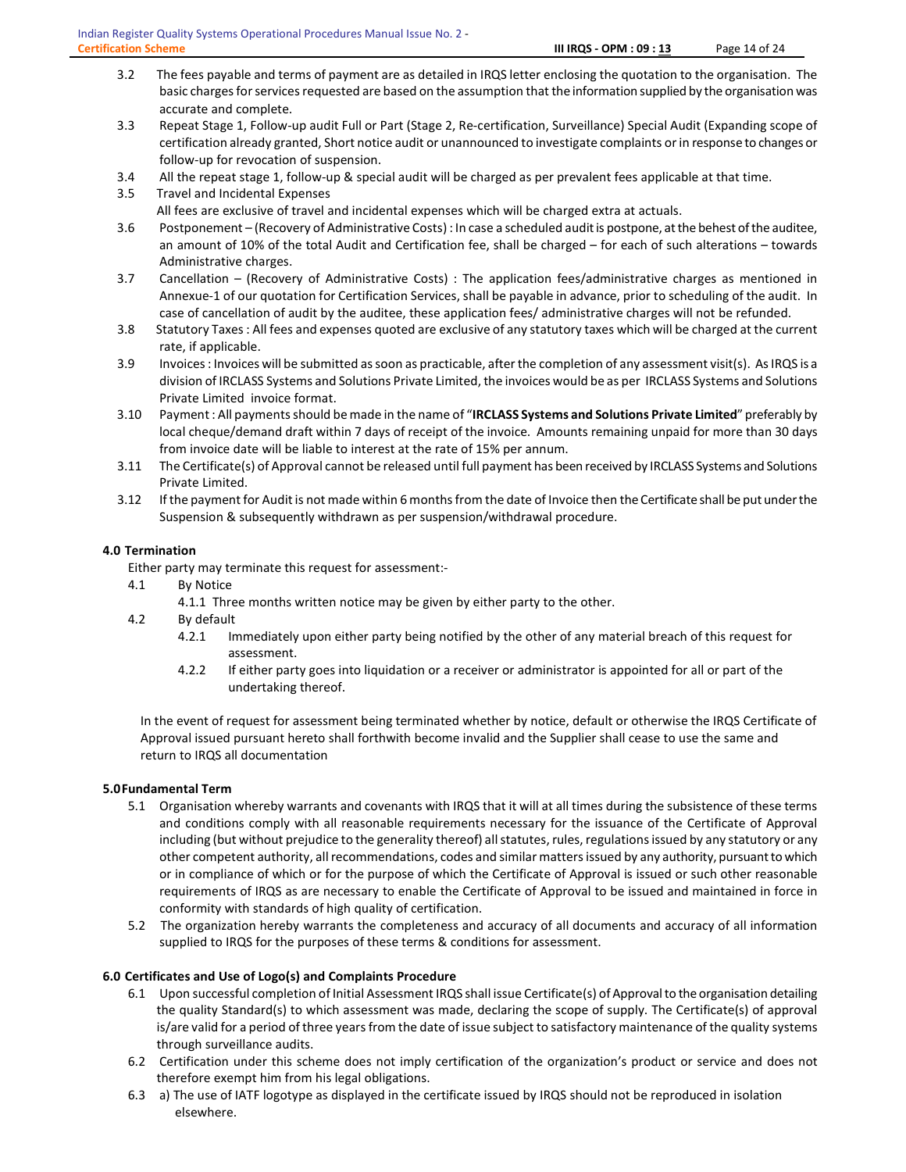- 3.2 The fees payable and terms of payment are as detailed in IRQS letter enclosing the quotation to the organisation. The basic charges for services requested are based on the assumption that the information supplied by the organisation was accurate and complete.
- 3.3 Repeat Stage 1, Follow-up audit Full or Part (Stage 2, Re-certification, Surveillance) Special Audit (Expanding scope of certification already granted, Short notice audit or unannounced to investigate complaints or in response to changes or follow-up for revocation of suspension.
- 3.4 All the repeat stage 1, follow-up & special audit will be charged as per prevalent fees applicable at that time.
- 3.5 Travel and Incidental Expenses All fees are exclusive of travel and incidental expenses which will be charged extra at actuals.
- 3.6 Postponement (Recovery of Administrative Costs) : In case a scheduled audit is postpone, at the behest of the auditee, an amount of 10% of the total Audit and Certification fee, shall be charged – for each of such alterations – towards Administrative charges.
- 3.7 Cancellation (Recovery of Administrative Costs) : The application fees/administrative charges as mentioned in Annexue-1 of our quotation for Certification Services, shall be payable in advance, prior to scheduling of the audit. In case of cancellation of audit by the auditee, these application fees/ administrative charges will not be refunded.
- 3.8 Statutory Taxes : All fees and expenses quoted are exclusive of any statutory taxes which will be charged at the current rate, if applicable.
- 3.9 Invoices : Invoices will be submitted as soon as practicable, after the completion of any assessment visit(s). As IRQS is a division of IRCLASS Systems and Solutions Private Limited, the invoices would be as per IRCLASS Systems and Solutions Private Limited invoice format.
- 3.10 Payment : All payments should be made in the name of "IRCLASS Systems and Solutions Private Limited" preferably by local cheque/demand draft within 7 days of receipt of the invoice. Amounts remaining unpaid for more than 30 days from invoice date will be liable to interest at the rate of 15% per annum.
- 3.11 The Certificate(s) of Approval cannot be released until full payment has been received by IRCLASS Systems and Solutions Private Limited.
- 3.12 If the payment for Audit is not made within 6 months from the date of Invoice then the Certificate shall be put under the Suspension & subsequently withdrawn as per suspension/withdrawal procedure.

# 4.0 Termination

Either party may terminate this request for assessment:-

- 4.1 By Notice
	- 4.1.1 Three months written notice may be given by either party to the other.
- 4.2 By default
	- 4.2.1 Immediately upon either party being notified by the other of any material breach of this request for assessment.
	- 4.2.2 If either party goes into liquidation or a receiver or administrator is appointed for all or part of the undertaking thereof.

 In the event of request for assessment being terminated whether by notice, default or otherwise the IRQS Certificate of Approval issued pursuant hereto shall forthwith become invalid and the Supplier shall cease to use the same and return to IRQS all documentation

# 5.0Fundamental Term

- 5.1 Organisation whereby warrants and covenants with IRQS that it will at all times during the subsistence of these terms and conditions comply with all reasonable requirements necessary for the issuance of the Certificate of Approval including (but without prejudice to the generality thereof) all statutes, rules, regulations issued by any statutory or any other competent authority, all recommendations, codes and similar matters issued by any authority, pursuant to which or in compliance of which or for the purpose of which the Certificate of Approval is issued or such other reasonable requirements of IRQS as are necessary to enable the Certificate of Approval to be issued and maintained in force in conformity with standards of high quality of certification.
- 5.2 The organization hereby warrants the completeness and accuracy of all documents and accuracy of all information supplied to IRQS for the purposes of these terms & conditions for assessment.

# 6.0 Certificates and Use of Logo(s) and Complaints Procedure

- 6.1 Upon successful completion of Initial Assessment IRQS shall issue Certificate(s) of Approval to the organisation detailing the quality Standard(s) to which assessment was made, declaring the scope of supply. The Certificate(s) of approval is/are valid for a period of three years from the date of issue subject to satisfactory maintenance of the quality systems through surveillance audits.
- 6.2 Certification under this scheme does not imply certification of the organization's product or service and does not therefore exempt him from his legal obligations.
- 6.3 a) The use of IATF logotype as displayed in the certificate issued by IRQS should not be reproduced in isolation elsewhere.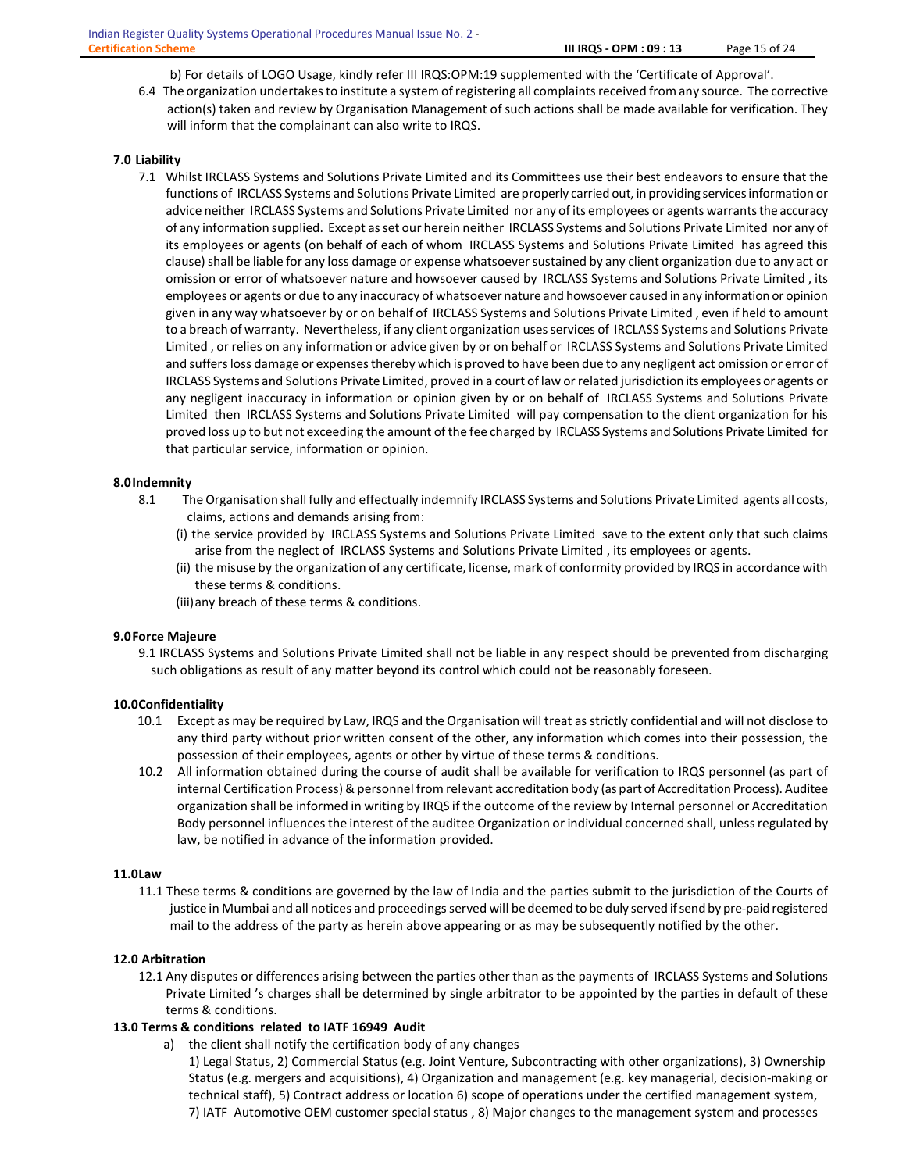b) For details of LOGO Usage, kindly refer III IRQS:OPM:19 supplemented with the 'Certificate of Approval'.

6.4 The organization undertakes to institute a system of registering all complaints received from any source. The corrective action(s) taken and review by Organisation Management of such actions shall be made available for verification. They will inform that the complainant can also write to IRQS.

#### 7.0 Liability

7.1 Whilst IRCLASS Systems and Solutions Private Limited and its Committees use their best endeavors to ensure that the functions of IRCLASS Systems and Solutions Private Limited are properly carried out, in providing services information or advice neither IRCLASS Systems and Solutions Private Limited nor any of its employees or agents warrants the accuracy of any information supplied. Except as set our herein neither IRCLASS Systems and Solutions Private Limited nor any of its employees or agents (on behalf of each of whom IRCLASS Systems and Solutions Private Limited has agreed this clause) shall be liable for any loss damage or expense whatsoever sustained by any client organization due to any act or omission or error of whatsoever nature and howsoever caused by IRCLASS Systems and Solutions Private Limited , its employees or agents or due to any inaccuracy of whatsoever nature and howsoever caused in any information or opinion given in any way whatsoever by or on behalf of IRCLASS Systems and Solutions Private Limited , even if held to amount to a breach of warranty. Nevertheless, if any client organization uses services of IRCLASS Systems and Solutions Private Limited , or relies on any information or advice given by or on behalf or IRCLASS Systems and Solutions Private Limited and suffers loss damage or expenses thereby which is proved to have been due to any negligent act omission or error of IRCLASS Systems and Solutions Private Limited, proved in a court of law or related jurisdiction its employees or agents or any negligent inaccuracy in information or opinion given by or on behalf of IRCLASS Systems and Solutions Private Limited then IRCLASS Systems and Solutions Private Limited will pay compensation to the client organization for his proved loss up to but not exceeding the amount of the fee charged by IRCLASS Systems and Solutions Private Limited for that particular service, information or opinion.

#### 8.0Indemnity

- 8.1 The Organisation shall fully and effectually indemnify IRCLASS Systems and Solutions Private Limited agents all costs, claims, actions and demands arising from:
	- (i) the service provided by IRCLASS Systems and Solutions Private Limited save to the extent only that such claims arise from the neglect of IRCLASS Systems and Solutions Private Limited , its employees or agents.
	- (ii) the misuse by the organization of any certificate, license, mark of conformity provided by IRQS in accordance with these terms & conditions.
	- (iii)any breach of these terms & conditions.

#### 9.0Force Majeure

9.1 IRCLASS Systems and Solutions Private Limited shall not be liable in any respect should be prevented from discharging such obligations as result of any matter beyond its control which could not be reasonably foreseen.

#### 10.0Confidentiality

- 10.1 Except as may be required by Law, IRQS and the Organisation will treat as strictly confidential and will not disclose to any third party without prior written consent of the other, any information which comes into their possession, the possession of their employees, agents or other by virtue of these terms & conditions.
- 10.2 All information obtained during the course of audit shall be available for verification to IRQS personnel (as part of internal Certification Process) & personnel from relevant accreditation body (as part of Accreditation Process). Auditee organization shall be informed in writing by IRQS if the outcome of the review by Internal personnel or Accreditation Body personnel influences the interest of the auditee Organization or individual concerned shall, unless regulated by law, be notified in advance of the information provided.

#### 11.0Law

11.1 These terms & conditions are governed by the law of India and the parties submit to the jurisdiction of the Courts of justice in Mumbai and all notices and proceedings served will be deemed to be duly served if send by pre-paid registered mail to the address of the party as herein above appearing or as may be subsequently notified by the other.

#### 12.0 Arbitration

12.1 Any disputes or differences arising between the parties other than as the payments of IRCLASS Systems and Solutions Private Limited 's charges shall be determined by single arbitrator to be appointed by the parties in default of these terms & conditions.

#### 13.0 Terms & conditions related to IATF 16949 Audit

- a) the client shall notify the certification body of any changes
	- 1) Legal Status, 2) Commercial Status (e.g. Joint Venture, Subcontracting with other organizations), 3) Ownership Status (e.g. mergers and acquisitions), 4) Organization and management (e.g. key managerial, decision-making or technical staff), 5) Contract address or location 6) scope of operations under the certified management system, 7) IATF Automotive OEM customer special status , 8) Major changes to the management system and processes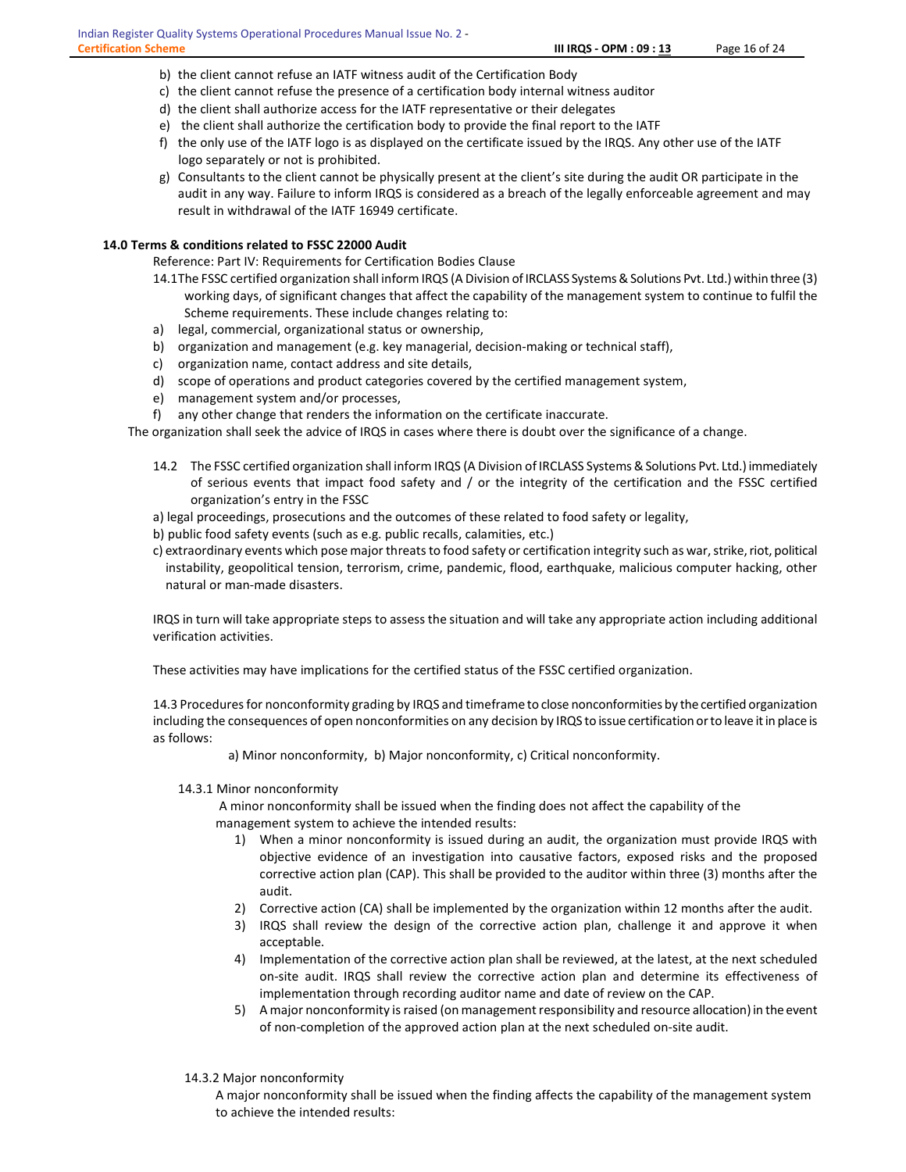- b) the client cannot refuse an IATF witness audit of the Certification Body
- c) the client cannot refuse the presence of a certification body internal witness auditor
- d) the client shall authorize access for the IATF representative or their delegates
- e) the client shall authorize the certification body to provide the final report to the IATF
- f) the only use of the IATF logo is as displayed on the certificate issued by the IRQS. Any other use of the IATF logo separately or not is prohibited.
- g) Consultants to the client cannot be physically present at the client's site during the audit OR participate in the audit in any way. Failure to inform IRQS is considered as a breach of the legally enforceable agreement and may result in withdrawal of the IATF 16949 certificate.

#### 14.0 Terms & conditions related to FSSC 22000 Audit

Reference: Part IV: Requirements for Certification Bodies Clause

- 14.1The FSSC certified organization shall inform IRQS (A Division of IRCLASS Systems & Solutions Pvt. Ltd.) within three (3) working days, of significant changes that affect the capability of the management system to continue to fulfil the Scheme requirements. These include changes relating to:
- a) legal, commercial, organizational status or ownership,
- b) organization and management (e.g. key managerial, decision-making or technical staff),
- c) organization name, contact address and site details,
- d) scope of operations and product categories covered by the certified management system,
- e) management system and/or processes,
- f) any other change that renders the information on the certificate inaccurate.

The organization shall seek the advice of IRQS in cases where there is doubt over the significance of a change.

- 14.2 The FSSC certified organization shall inform IRQS (A Division of IRCLASS Systems & Solutions Pvt. Ltd.) immediately of serious events that impact food safety and / or the integrity of the certification and the FSSC certified organization's entry in the FSSC
- a) legal proceedings, prosecutions and the outcomes of these related to food safety or legality,
- b) public food safety events (such as e.g. public recalls, calamities, etc.)
- c) extraordinary events which pose major threats to food safety or certification integrity such as war, strike, riot, political instability, geopolitical tension, terrorism, crime, pandemic, flood, earthquake, malicious computer hacking, other natural or man-made disasters.

IRQS in turn will take appropriate steps to assess the situation and will take any appropriate action including additional verification activities.

These activities may have implications for the certified status of the FSSC certified organization.

14.3 Procedures for nonconformity grading by IRQS and timeframe to close nonconformities by the certified organization including the consequences of open nonconformities on any decision by IRQS to issue certification or to leave it in place is as follows:

a) Minor nonconformity, b) Major nonconformity, c) Critical nonconformity.

#### 14.3.1 Minor nonconformity

 A minor nonconformity shall be issued when the finding does not affect the capability of the management system to achieve the intended results:

- 1) When a minor nonconformity is issued during an audit, the organization must provide IRQS with objective evidence of an investigation into causative factors, exposed risks and the proposed corrective action plan (CAP). This shall be provided to the auditor within three (3) months after the audit.
- 2) Corrective action (CA) shall be implemented by the organization within 12 months after the audit.
- 3) IRQS shall review the design of the corrective action plan, challenge it and approve it when acceptable.
- 4) Implementation of the corrective action plan shall be reviewed, at the latest, at the next scheduled on-site audit. IRQS shall review the corrective action plan and determine its effectiveness of implementation through recording auditor name and date of review on the CAP.
- 5) A major nonconformity is raised (on management responsibility and resource allocation) in the event of non-completion of the approved action plan at the next scheduled on-site audit.
- 14.3.2 Major nonconformity

A major nonconformity shall be issued when the finding affects the capability of the management system to achieve the intended results: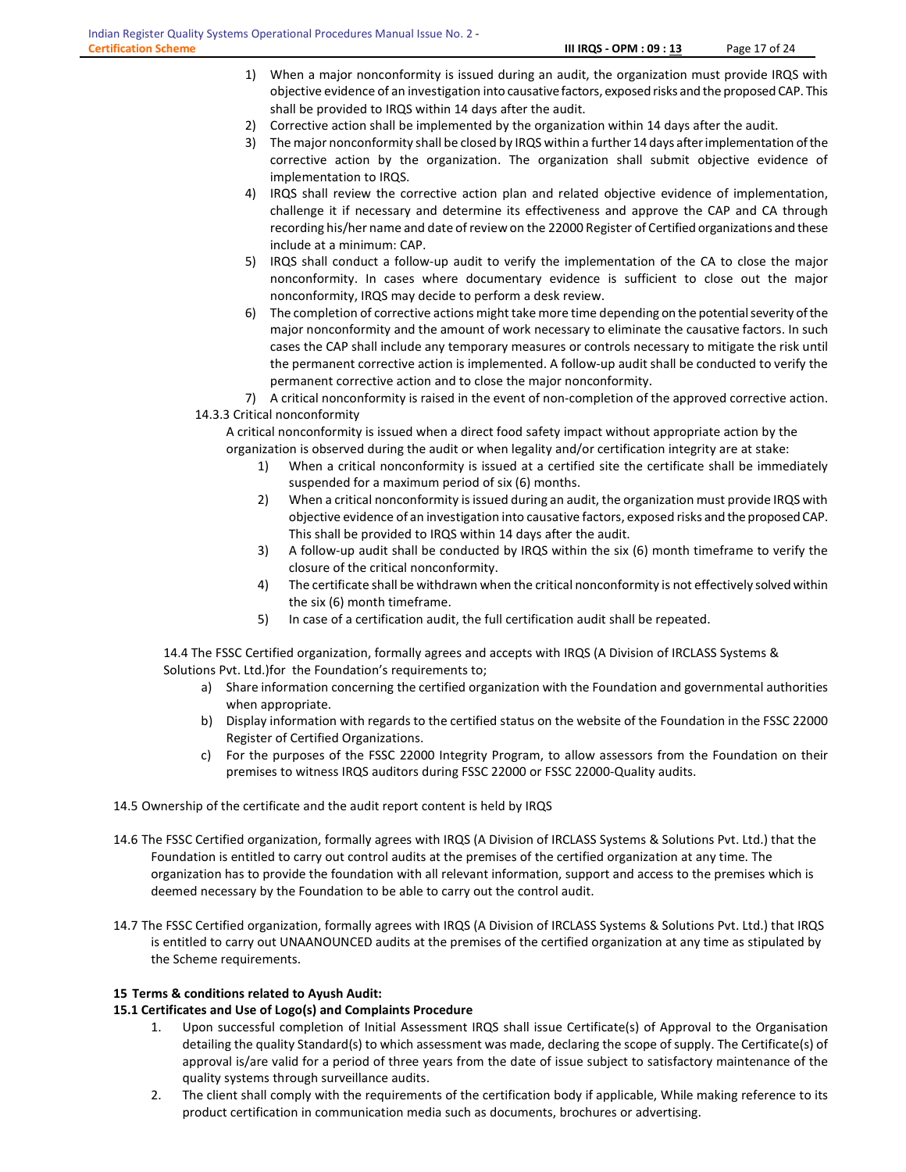- 1) When a major nonconformity is issued during an audit, the organization must provide IRQS with objective evidence of an investigation into causative factors, exposed risks and the proposed CAP. This shall be provided to IRQS within 14 days after the audit.
- 2) Corrective action shall be implemented by the organization within 14 days after the audit.
- 3) The major nonconformity shall be closed by IRQS within a further 14 days after implementation of the corrective action by the organization. The organization shall submit objective evidence of implementation to IRQS.
- 4) IRQS shall review the corrective action plan and related objective evidence of implementation, challenge it if necessary and determine its effectiveness and approve the CAP and CA through recording his/her name and date of review on the 22000 Register of Certified organizations and these include at a minimum: CAP.
- 5) IRQS shall conduct a follow-up audit to verify the implementation of the CA to close the major nonconformity. In cases where documentary evidence is sufficient to close out the major nonconformity, IRQS may decide to perform a desk review.
- 6) The completion of corrective actions might take more time depending on the potential severity of the major nonconformity and the amount of work necessary to eliminate the causative factors. In such cases the CAP shall include any temporary measures or controls necessary to mitigate the risk until the permanent corrective action is implemented. A follow-up audit shall be conducted to verify the permanent corrective action and to close the major nonconformity.

7) A critical nonconformity is raised in the event of non-completion of the approved corrective action. 14.3.3 Critical nonconformity

A critical nonconformity is issued when a direct food safety impact without appropriate action by the organization is observed during the audit or when legality and/or certification integrity are at stake:

- 1) When a critical nonconformity is issued at a certified site the certificate shall be immediately suspended for a maximum period of six (6) months.
- 2) When a critical nonconformity is issued during an audit, the organization must provide IRQS with objective evidence of an investigation into causative factors, exposed risks and the proposed CAP. This shall be provided to IRQS within 14 days after the audit.
- 3) A follow-up audit shall be conducted by IRQS within the six (6) month timeframe to verify the closure of the critical nonconformity.
- 4) The certificate shall be withdrawn when the critical nonconformity is not effectively solved within the six (6) month timeframe.
- 5) In case of a certification audit, the full certification audit shall be repeated.

14.4 The FSSC Certified organization, formally agrees and accepts with IRQS (A Division of IRCLASS Systems & Solutions Pvt. Ltd.)for the Foundation's requirements to;

- a) Share information concerning the certified organization with the Foundation and governmental authorities when appropriate.
- b) Display information with regards to the certified status on the website of the Foundation in the FSSC 22000 Register of Certified Organizations.
- c) For the purposes of the FSSC 22000 Integrity Program, to allow assessors from the Foundation on their premises to witness IRQS auditors during FSSC 22000 or FSSC 22000-Quality audits.

# 14.5 Ownership of the certificate and the audit report content is held by IRQS

- 14.6 The FSSC Certified organization, formally agrees with IRQS (A Division of IRCLASS Systems & Solutions Pvt. Ltd.) that the Foundation is entitled to carry out control audits at the premises of the certified organization at any time. The organization has to provide the foundation with all relevant information, support and access to the premises which is deemed necessary by the Foundation to be able to carry out the control audit.
- 14.7 The FSSC Certified organization, formally agrees with IRQS (A Division of IRCLASS Systems & Solutions Pvt. Ltd.) that IRQS is entitled to carry out UNAANOUNCED audits at the premises of the certified organization at any time as stipulated by the Scheme requirements.

# 15 Terms & conditions related to Ayush Audit:

# 15.1 Certificates and Use of Logo(s) and Complaints Procedure

- 1. Upon successful completion of Initial Assessment IRQS shall issue Certificate(s) of Approval to the Organisation detailing the quality Standard(s) to which assessment was made, declaring the scope of supply. The Certificate(s) of approval is/are valid for a period of three years from the date of issue subject to satisfactory maintenance of the quality systems through surveillance audits.
- 2. The client shall comply with the requirements of the certification body if applicable, While making reference to its product certification in communication media such as documents, brochures or advertising.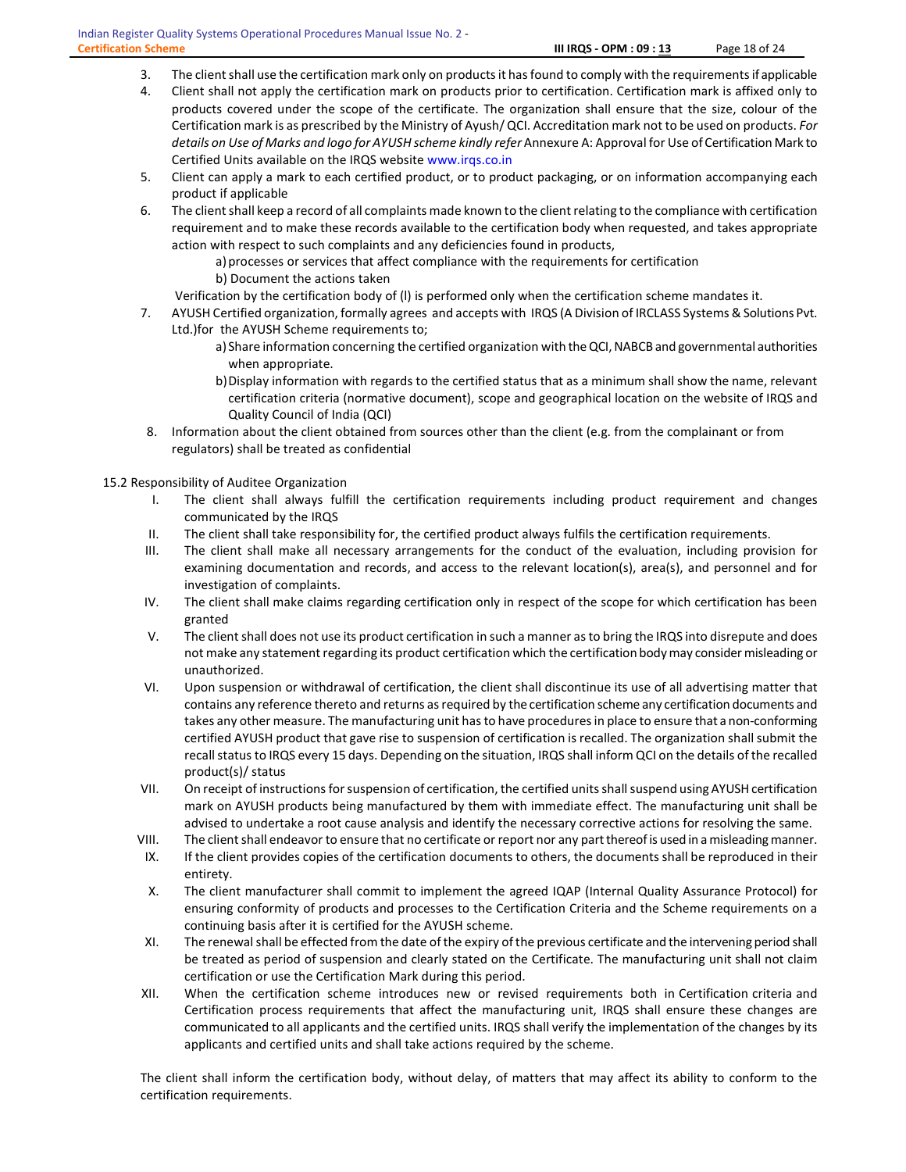- 3. The client shall use the certification mark only on products it has found to comply with the requirements if applicable
- 4. Client shall not apply the certification mark on products prior to certification. Certification mark is affixed only to products covered under the scope of the certificate. The organization shall ensure that the size, colour of the Certification mark is as prescribed by the Ministry of Ayush/ QCI. Accreditation mark not to be used on products. For details on Use of Marks and logo for AYUSH scheme kindly refer Annexure A: Approval for Use of Certification Mark to Certified Units available on the IRQS website www.irqs.co.in
- 5. Client can apply a mark to each certified product, or to product packaging, or on information accompanying each product if applicable
- 6. The client shall keep a record of all complaints made known to the client relating to the compliance with certification requirement and to make these records available to the certification body when requested, and takes appropriate action with respect to such complaints and any deficiencies found in products,

a) processes or services that affect compliance with the requirements for certification

- b) Document the actions taken
- Verification by the certification body of (l) is performed only when the certification scheme mandates it.
- 7. AYUSH Certified organization, formally agrees and accepts with IRQS (A Division of IRCLASS Systems & Solutions Pvt. Ltd.)for the AYUSH Scheme requirements to;
	- a) Share information concerning the certified organization with the QCI, NABCB and governmental authorities when appropriate.
	- b)Display information with regards to the certified status that as a minimum shall show the name, relevant certification criteria (normative document), scope and geographical location on the website of IRQS and Quality Council of India (QCI)
- 8. Information about the client obtained from sources other than the client (e.g. from the complainant or from regulators) shall be treated as confidential

15.2 Responsibility of Auditee Organization

- I. The client shall always fulfill the certification requirements including product requirement and changes communicated by the IRQS
- II. The client shall take responsibility for, the certified product always fulfils the certification requirements.
- III. The client shall make all necessary arrangements for the conduct of the evaluation, including provision for examining documentation and records, and access to the relevant location(s), area(s), and personnel and for investigation of complaints.
- IV. The client shall make claims regarding certification only in respect of the scope for which certification has been granted
- V. The client shall does not use its product certification in such a manner as to bring the IRQS into disrepute and does not make any statement regarding its product certification which the certification body may consider misleading or unauthorized.
- VI. Upon suspension or withdrawal of certification, the client shall discontinue its use of all advertising matter that contains any reference thereto and returns as required by the certification scheme any certification documents and takes any other measure. The manufacturing unit has to have procedures in place to ensure that a non-conforming certified AYUSH product that gave rise to suspension of certification is recalled. The organization shall submit the recall status to IRQS every 15 days. Depending on the situation, IRQS shall inform QCI on the details of the recalled product(s)/ status
- VII. On receipt of instructions for suspension of certification, the certified units shall suspend using AYUSH certification mark on AYUSH products being manufactured by them with immediate effect. The manufacturing unit shall be advised to undertake a root cause analysis and identify the necessary corrective actions for resolving the same.
- VIII. The client shall endeavor to ensure that no certificate or report nor any part thereof is used in a misleading manner.
- IX. If the client provides copies of the certification documents to others, the documents shall be reproduced in their entirety.
- X. The client manufacturer shall commit to implement the agreed IQAP (Internal Quality Assurance Protocol) for ensuring conformity of products and processes to the Certification Criteria and the Scheme requirements on a continuing basis after it is certified for the AYUSH scheme.
- XI. The renewal shall be effected from the date of the expiry of the previous certificate and the intervening period shall be treated as period of suspension and clearly stated on the Certificate. The manufacturing unit shall not claim certification or use the Certification Mark during this period.
- XII. When the certification scheme introduces new or revised requirements both in Certification criteria and Certification process requirements that affect the manufacturing unit, IRQS shall ensure these changes are communicated to all applicants and the certified units. IRQS shall verify the implementation of the changes by its applicants and certified units and shall take actions required by the scheme.

The client shall inform the certification body, without delay, of matters that may affect its ability to conform to the certification requirements.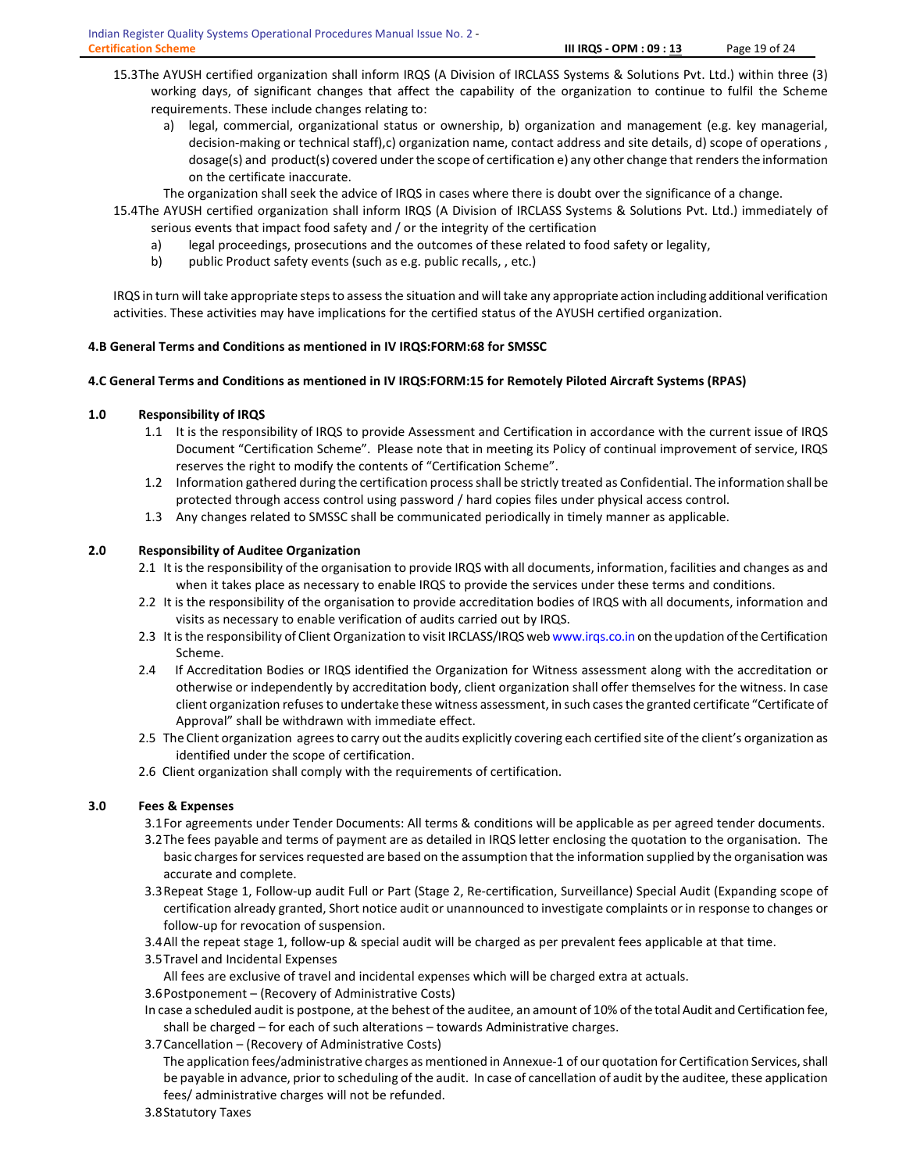- 15.3The AYUSH certified organization shall inform IRQS (A Division of IRCLASS Systems & Solutions Pvt. Ltd.) within three (3) working days, of significant changes that affect the capability of the organization to continue to fulfil the Scheme requirements. These include changes relating to:
	- a) legal, commercial, organizational status or ownership, b) organization and management (e.g. key managerial, decision-making or technical staff),c) organization name, contact address and site details, d) scope of operations , dosage(s) and product(s) covered under the scope of certification e) any other change that renders the information on the certificate inaccurate.
	- The organization shall seek the advice of IRQS in cases where there is doubt over the significance of a change.
- 15.4The AYUSH certified organization shall inform IRQS (A Division of IRCLASS Systems & Solutions Pvt. Ltd.) immediately of serious events that impact food safety and / or the integrity of the certification
	- a) legal proceedings, prosecutions and the outcomes of these related to food safety or legality,
	- b) public Product safety events (such as e.g. public recalls, , etc.)

IRQS in turn will take appropriate steps to assess the situation and will take any appropriate action including additional verification activities. These activities may have implications for the certified status of the AYUSH certified organization.

# 4.B General Terms and Conditions as mentioned in IV IRQS:FORM:68 for SMSSC

# 4.C General Terms and Conditions as mentioned in IV IRQS:FORM:15 for Remotely Piloted Aircraft Systems (RPAS)

# 1.0 Responsibility of IRQS

- 1.1 It is the responsibility of IRQS to provide Assessment and Certification in accordance with the current issue of IRQS Document "Certification Scheme". Please note that in meeting its Policy of continual improvement of service, IRQS reserves the right to modify the contents of "Certification Scheme".
- 1.2 Information gathered during the certification process shall be strictly treated as Confidential. The information shall be protected through access control using password / hard copies files under physical access control.
- 1.3 Any changes related to SMSSC shall be communicated periodically in timely manner as applicable.

# 2.0 Responsibility of Auditee Organization

- 2.1 It is the responsibility of the organisation to provide IRQS with all documents, information, facilities and changes as and when it takes place as necessary to enable IRQS to provide the services under these terms and conditions.
- 2.2 It is the responsibility of the organisation to provide accreditation bodies of IRQS with all documents, information and visits as necessary to enable verification of audits carried out by IRQS.
- 2.3 It is the responsibility of Client Organization to visit IRCLASS/IRQS web www.irqs.co.in on the updation of the Certification Scheme.
- 2.4 If Accreditation Bodies or IRQS identified the Organization for Witness assessment along with the accreditation or otherwise or independently by accreditation body, client organization shall offer themselves for the witness. In case client organization refuses to undertake these witness assessment, in such cases the granted certificate "Certificate of Approval" shall be withdrawn with immediate effect.
- 2.5 The Client organization agrees to carry out the audits explicitly covering each certified site of the client's organization as identified under the scope of certification.
- 2.6 Client organization shall comply with the requirements of certification.

# 3.0 Fees & Expenses

- 3.1For agreements under Tender Documents: All terms & conditions will be applicable as per agreed tender documents.
- 3.2The fees payable and terms of payment are as detailed in IRQS letter enclosing the quotation to the organisation. The basic charges for services requested are based on the assumption that the information supplied by the organisation was accurate and complete.
- 3.3Repeat Stage 1, Follow-up audit Full or Part (Stage 2, Re-certification, Surveillance) Special Audit (Expanding scope of certification already granted, Short notice audit or unannounced to investigate complaints or in response to changes or follow-up for revocation of suspension.
- 3.4All the repeat stage 1, follow-up & special audit will be charged as per prevalent fees applicable at that time.
- 3.5Travel and Incidental Expenses
	- All fees are exclusive of travel and incidental expenses which will be charged extra at actuals.
- 3.6Postponement (Recovery of Administrative Costs)
- In case a scheduled audit is postpone, at the behest of the auditee, an amount of 10% of the total Audit and Certification fee, shall be charged – for each of such alterations – towards Administrative charges.
- 3.7Cancellation (Recovery of Administrative Costs)

 The application fees/administrative charges as mentioned in Annexue-1 of our quotation for Certification Services, shall be payable in advance, prior to scheduling of the audit. In case of cancellation of audit by the auditee, these application fees/ administrative charges will not be refunded.

3.8Statutory Taxes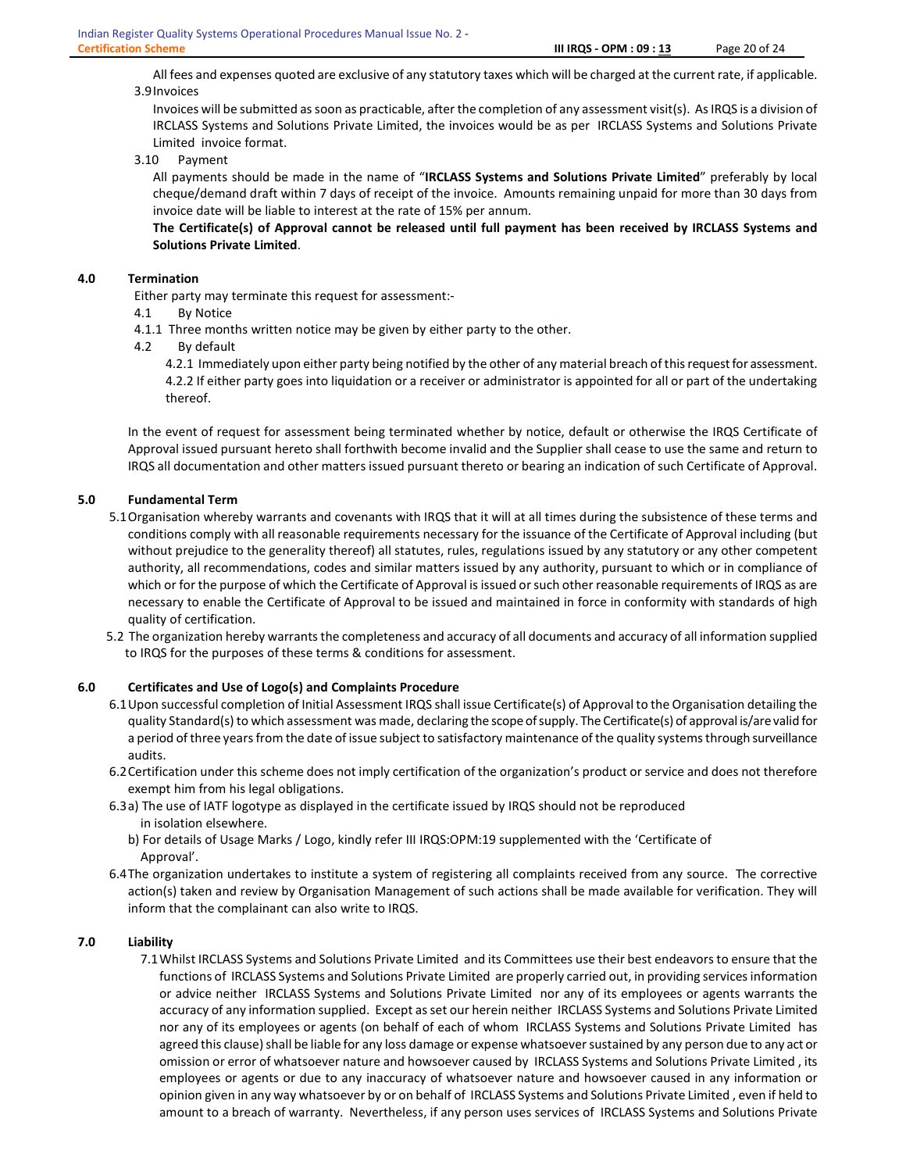All fees and expenses quoted are exclusive of any statutory taxes which will be charged at the current rate, if applicable. 3.9Invoices

 Invoices will be submitted as soon as practicable, after the completion of any assessment visit(s). As IRQS is a division of IRCLASS Systems and Solutions Private Limited, the invoices would be as per IRCLASS Systems and Solutions Private Limited invoice format.

3.10 Payment

All payments should be made in the name of "IRCLASS Systems and Solutions Private Limited" preferably by local cheque/demand draft within 7 days of receipt of the invoice. Amounts remaining unpaid for more than 30 days from invoice date will be liable to interest at the rate of 15% per annum.

 The Certificate(s) of Approval cannot be released until full payment has been received by IRCLASS Systems and Solutions Private Limited.

# 4.0 Termination

Either party may terminate this request for assessment:-

- 4.1 By Notice
- 4.1.1 Three months written notice may be given by either party to the other.
- 4.2 By default

4.2.1 Immediately upon either party being notified by the other of any material breach of this request for assessment. 4.2.2 If either party goes into liquidation or a receiver or administrator is appointed for all or part of the undertaking thereof.

In the event of request for assessment being terminated whether by notice, default or otherwise the IRQS Certificate of Approval issued pursuant hereto shall forthwith become invalid and the Supplier shall cease to use the same and return to IRQS all documentation and other matters issued pursuant thereto or bearing an indication of such Certificate of Approval.

#### 5.0 Fundamental Term

- 5.1Organisation whereby warrants and covenants with IRQS that it will at all times during the subsistence of these terms and conditions comply with all reasonable requirements necessary for the issuance of the Certificate of Approval including (but without prejudice to the generality thereof) all statutes, rules, regulations issued by any statutory or any other competent authority, all recommendations, codes and similar matters issued by any authority, pursuant to which or in compliance of which or for the purpose of which the Certificate of Approval is issued or such other reasonable requirements of IRQS as are necessary to enable the Certificate of Approval to be issued and maintained in force in conformity with standards of high quality of certification.
- 5.2 The organization hereby warrants the completeness and accuracy of all documents and accuracy of all information supplied to IRQS for the purposes of these terms & conditions for assessment.

#### 6.0 Certificates and Use of Logo(s) and Complaints Procedure

- 6.1Upon successful completion of Initial Assessment IRQS shall issue Certificate(s) of Approval to the Organisation detailing the quality Standard(s) to which assessment was made, declaring the scope of supply. The Certificate(s) of approval is/are valid for a period of three years from the date of issue subject to satisfactory maintenance of the quality systems through surveillance audits.
- 6.2Certification under this scheme does not imply certification of the organization's product or service and does not therefore exempt him from his legal obligations.
- 6.3a) The use of IATF logotype as displayed in the certificate issued by IRQS should not be reproduced in isolation elsewhere.
	- b) For details of Usage Marks / Logo, kindly refer III IRQS:OPM:19 supplemented with the 'Certificate of Approval'.
- 6.4The organization undertakes to institute a system of registering all complaints received from any source. The corrective action(s) taken and review by Organisation Management of such actions shall be made available for verification. They will inform that the complainant can also write to IRQS.

# 7.0 Liability

7.1Whilst IRCLASS Systems and Solutions Private Limited and its Committees use their best endeavors to ensure that the functions of IRCLASS Systems and Solutions Private Limited are properly carried out, in providing services information or advice neither IRCLASS Systems and Solutions Private Limited nor any of its employees or agents warrants the accuracy of any information supplied. Except as set our herein neither IRCLASS Systems and Solutions Private Limited nor any of its employees or agents (on behalf of each of whom IRCLASS Systems and Solutions Private Limited has agreed this clause) shall be liable for any loss damage or expense whatsoever sustained by any person due to any act or omission or error of whatsoever nature and howsoever caused by IRCLASS Systems and Solutions Private Limited , its employees or agents or due to any inaccuracy of whatsoever nature and howsoever caused in any information or opinion given in any way whatsoever by or on behalf of IRCLASS Systems and Solutions Private Limited , even if held to amount to a breach of warranty. Nevertheless, if any person uses services of IRCLASS Systems and Solutions Private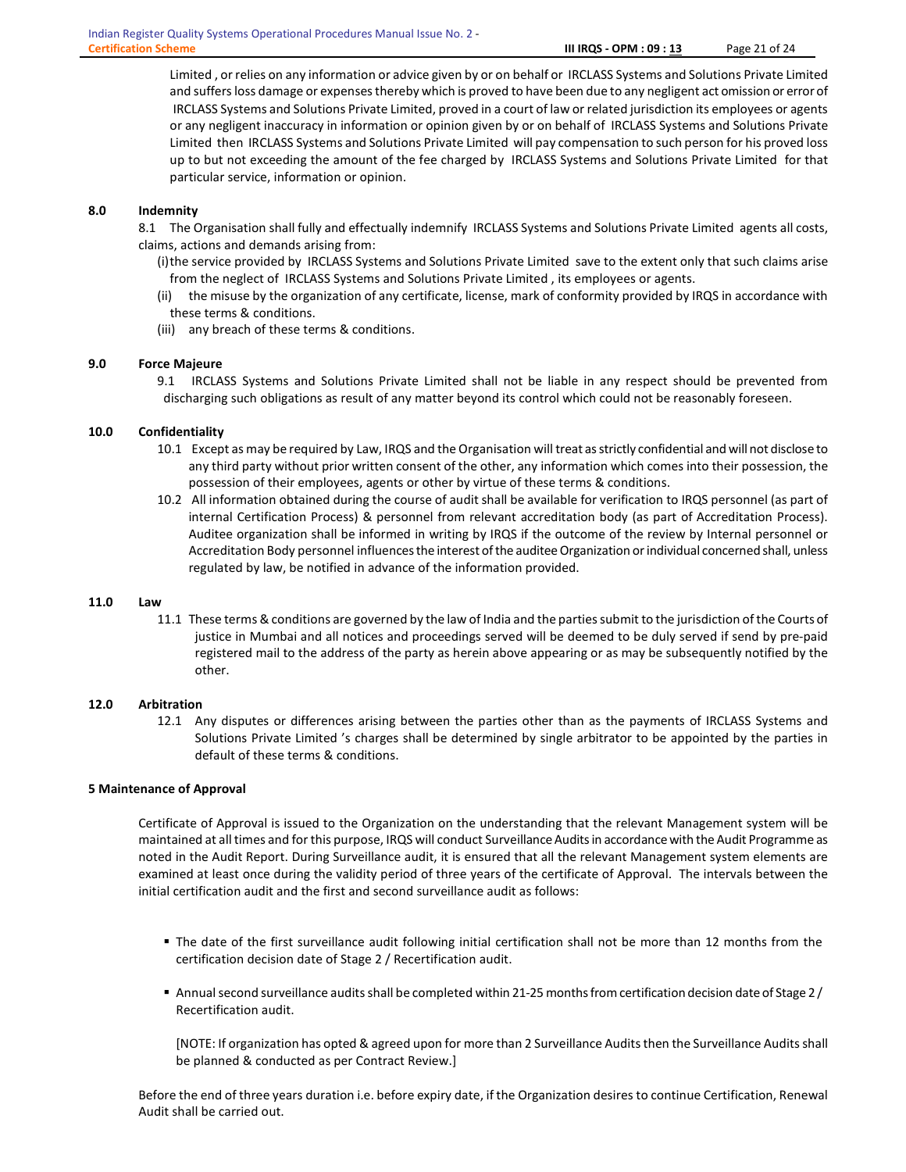Limited , or relies on any information or advice given by or on behalf or IRCLASS Systems and Solutions Private Limited and suffers loss damage or expenses thereby which is proved to have been due to any negligent act omission or error of IRCLASS Systems and Solutions Private Limited, proved in a court of law or related jurisdiction its employees or agents or any negligent inaccuracy in information or opinion given by or on behalf of IRCLASS Systems and Solutions Private Limited then IRCLASS Systems and Solutions Private Limited will pay compensation to such person for his proved loss up to but not exceeding the amount of the fee charged by IRCLASS Systems and Solutions Private Limited for that particular service, information or opinion.

# 8.0 Indemnity

8.1 The Organisation shall fully and effectually indemnify IRCLASS Systems and Solutions Private Limited agents all costs, claims, actions and demands arising from:

- (i)the service provided by IRCLASS Systems and Solutions Private Limited save to the extent only that such claims arise from the neglect of IRCLASS Systems and Solutions Private Limited , its employees or agents.
- (ii) the misuse by the organization of any certificate, license, mark of conformity provided by IRQS in accordance with these terms & conditions.
- (iii) any breach of these terms & conditions.

# 9.0 Force Majeure

9.1 IRCLASS Systems and Solutions Private Limited shall not be liable in any respect should be prevented from discharging such obligations as result of any matter beyond its control which could not be reasonably foreseen.

# 10.0 Confidentiality

- 10.1 Except as may be required by Law, IRQS and the Organisation will treat as strictly confidential and will not disclose to any third party without prior written consent of the other, any information which comes into their possession, the possession of their employees, agents or other by virtue of these terms & conditions.
- 10.2 All information obtained during the course of audit shall be available for verification to IRQS personnel (as part of internal Certification Process) & personnel from relevant accreditation body (as part of Accreditation Process). Auditee organization shall be informed in writing by IRQS if the outcome of the review by Internal personnel or Accreditation Body personnel influences the interest of the auditee Organization or individual concerned shall, unless regulated by law, be notified in advance of the information provided.

#### 11.0 Law

11.1 These terms & conditions are governed by the law of India and the parties submit to the jurisdiction of the Courts of justice in Mumbai and all notices and proceedings served will be deemed to be duly served if send by pre-paid registered mail to the address of the party as herein above appearing or as may be subsequently notified by the other.

#### 12.0 Arbitration

12.1 Any disputes or differences arising between the parties other than as the payments of IRCLASS Systems and Solutions Private Limited 's charges shall be determined by single arbitrator to be appointed by the parties in default of these terms & conditions.

## 5 Maintenance of Approval

Certificate of Approval is issued to the Organization on the understanding that the relevant Management system will be maintained at all times and for this purpose, IRQS will conduct Surveillance Audits in accordance with the Audit Programme as noted in the Audit Report. During Surveillance audit, it is ensured that all the relevant Management system elements are examined at least once during the validity period of three years of the certificate of Approval. The intervals between the initial certification audit and the first and second surveillance audit as follows:

- The date of the first surveillance audit following initial certification shall not be more than 12 months from the certification decision date of Stage 2 / Recertification audit.
- Annual second surveillance audits shall be completed within 21-25 months from certification decision date of Stage 2 / Recertification audit.

[NOTE: If organization has opted & agreed upon for more than 2 Surveillance Audits then the Surveillance Audits shall be planned & conducted as per Contract Review.]

Before the end of three years duration i.e. before expiry date, if the Organization desires to continue Certification, Renewal Audit shall be carried out.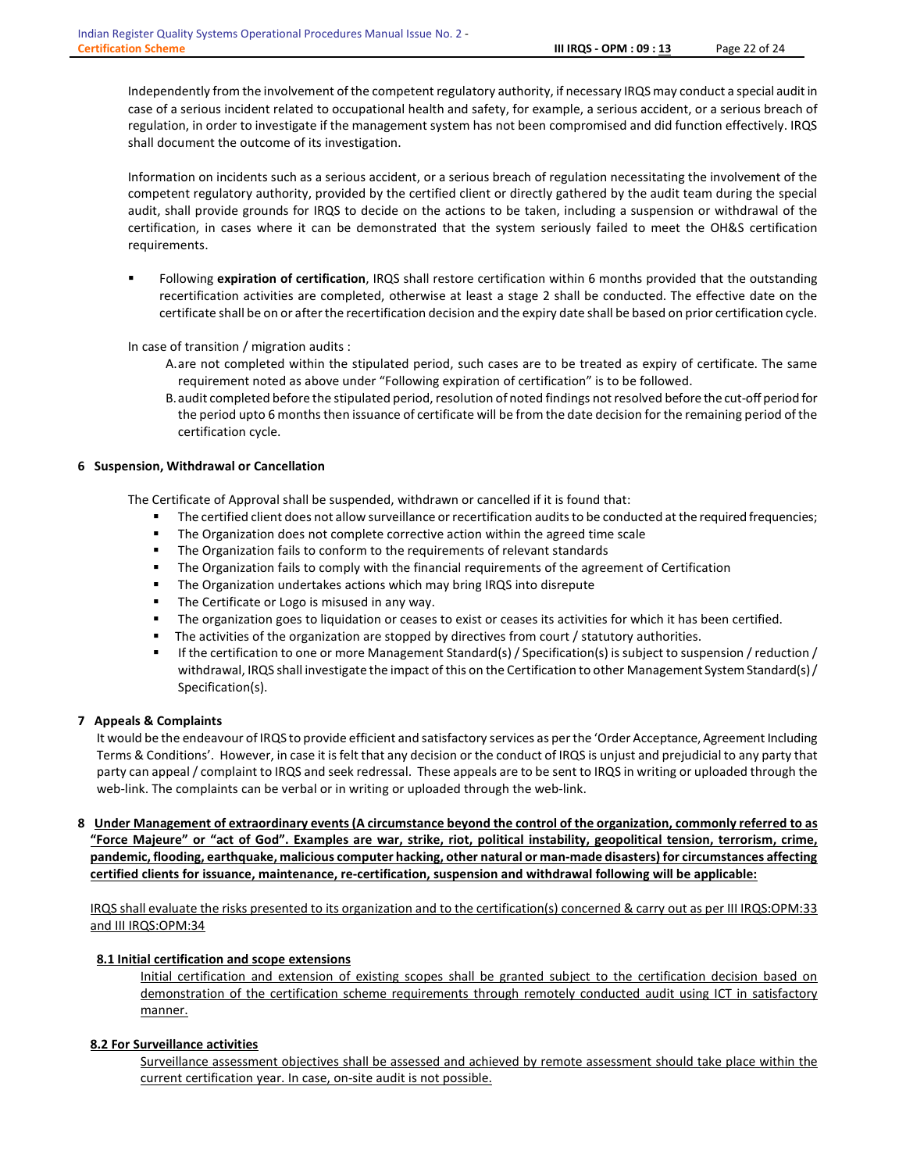Independently from the involvement of the competent regulatory authority, if necessary IRQS may conduct a special audit in case of a serious incident related to occupational health and safety, for example, a serious accident, or a serious breach of regulation, in order to investigate if the management system has not been compromised and did function effectively. IRQS shall document the outcome of its investigation.

Information on incidents such as a serious accident, or a serious breach of regulation necessitating the involvement of the competent regulatory authority, provided by the certified client or directly gathered by the audit team during the special audit, shall provide grounds for IRQS to decide on the actions to be taken, including a suspension or withdrawal of the certification, in cases where it can be demonstrated that the system seriously failed to meet the OH&S certification requirements.

Following expiration of certification, IRQS shall restore certification within 6 months provided that the outstanding recertification activities are completed, otherwise at least a stage 2 shall be conducted. The effective date on the certificate shall be on or after the recertification decision and the expiry date shall be based on prior certification cycle.

In case of transition / migration audits :

- A.are not completed within the stipulated period, such cases are to be treated as expiry of certificate. The same requirement noted as above under "Following expiration of certification" is to be followed.
- B.audit completed before the stipulated period, resolution of noted findings not resolved before the cut-off period for the period upto 6 months then issuance of certificate will be from the date decision for the remaining period of the certification cycle.

#### 6 Suspension, Withdrawal or Cancellation

The Certificate of Approval shall be suspended, withdrawn or cancelled if it is found that:

- The certified client does not allow surveillance or recertification audits to be conducted at the required frequencies;
- The Organization does not complete corrective action within the agreed time scale
- The Organization fails to conform to the requirements of relevant standards
- The Organization fails to comply with the financial requirements of the agreement of Certification
- The Organization undertakes actions which may bring IRQS into disrepute
- The Certificate or Logo is misused in any way.
- The organization goes to liquidation or ceases to exist or ceases its activities for which it has been certified.
- The activities of the organization are stopped by directives from court / statutory authorities.
- If the certification to one or more Management Standard(s) / Specification(s) is subject to suspension / reduction / withdrawal, IRQS shall investigate the impact of this on the Certification to other Management System Standard(s) / Specification(s).

#### 7 Appeals & Complaints

It would be the endeavour of IRQS to provide efficient and satisfactory services as per the 'Order Acceptance, Agreement Including Terms & Conditions'. However, in case it is felt that any decision or the conduct of IRQS is unjust and prejudicial to any party that party can appeal / complaint to IRQS and seek redressal. These appeals are to be sent to IRQS in writing or uploaded through the web-link. The complaints can be verbal or in writing or uploaded through the web-link.

8 Under Management of extraordinary events (A circumstance beyond the control of the organization, commonly referred to as "Force Majeure" or "act of God". Examples are war, strike, riot, political instability, geopolitical tension, terrorism, crime, pandemic, flooding, earthquake, malicious computer hacking, other natural or man-made disasters) for circumstances affecting certified clients for issuance, maintenance, re-certification, suspension and withdrawal following will be applicable:

IRQS shall evaluate the risks presented to its organization and to the certification(s) concerned & carry out as per III IRQS:OPM:33 and III IRQS:OPM:34

#### 8.1 Initial certification and scope extensions

Initial certification and extension of existing scopes shall be granted subject to the certification decision based on demonstration of the certification scheme requirements through remotely conducted audit using ICT in satisfactory manner.

# 8.2 For Surveillance activities

Surveillance assessment objectives shall be assessed and achieved by remote assessment should take place within the current certification year. In case, on-site audit is not possible.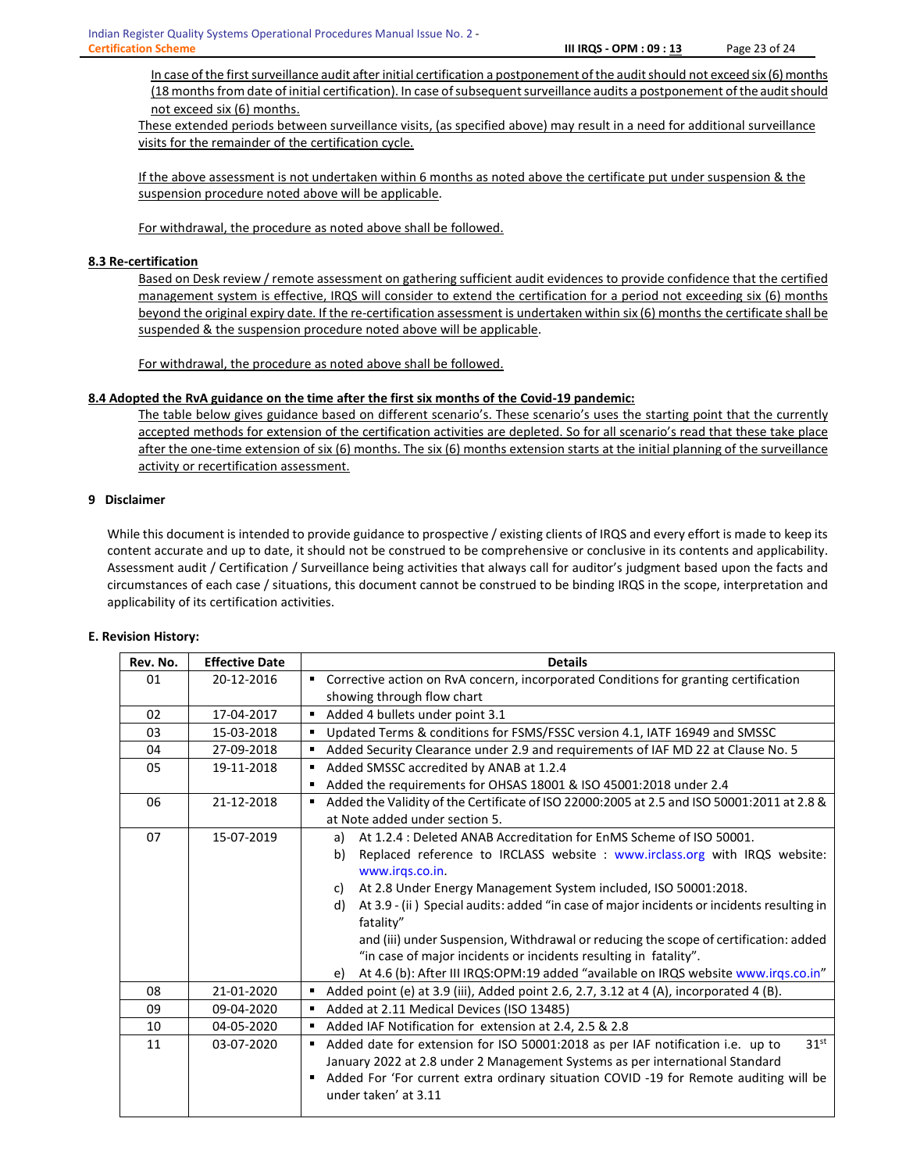In case of the first surveillance audit after initial certification a postponement of the audit should not exceed six (6) months (18 months from date of initial certification). In case of subsequent surveillance audits a postponement of the audit should not exceed six (6) months.

These extended periods between surveillance visits, (as specified above) may result in a need for additional surveillance visits for the remainder of the certification cycle.

If the above assessment is not undertaken within 6 months as noted above the certificate put under suspension & the suspension procedure noted above will be applicable.

For withdrawal, the procedure as noted above shall be followed.

# 8.3 Re-certification

Based on Desk review / remote assessment on gathering sufficient audit evidences to provide confidence that the certified management system is effective, IRQS will consider to extend the certification for a period not exceeding six (6) months beyond the original expiry date. If the re-certification assessment is undertaken within six (6) months the certificate shall be suspended & the suspension procedure noted above will be applicable.

For withdrawal, the procedure as noted above shall be followed.

# 8.4 Adopted the RvA guidance on the time after the first six months of the Covid-19 pandemic:

The table below gives guidance based on different scenario's. These scenario's uses the starting point that the currently accepted methods for extension of the certification activities are depleted. So for all scenario's read that these take place after the one-time extension of six (6) months. The six (6) months extension starts at the initial planning of the surveillance activity or recertification assessment.

## 9 Disclaimer

While this document is intended to provide guidance to prospective / existing clients of IRQS and every effort is made to keep its content accurate and up to date, it should not be construed to be comprehensive or conclusive in its contents and applicability. Assessment audit / Certification / Surveillance being activities that always call for auditor's judgment based upon the facts and circumstances of each case / situations, this document cannot be construed to be binding IRQS in the scope, interpretation and applicability of its certification activities.

### E. Revision History:

| Rev. No. | <b>Effective Date</b> | <b>Details</b>                                                                                                       |  |  |
|----------|-----------------------|----------------------------------------------------------------------------------------------------------------------|--|--|
| 01       | 20-12-2016            | ■ Corrective action on RvA concern, incorporated Conditions for granting certification                               |  |  |
|          |                       | showing through flow chart                                                                                           |  |  |
| 02       | 17-04-2017            | Added 4 bullets under point 3.1                                                                                      |  |  |
| 03       | 15-03-2018            | Updated Terms & conditions for FSMS/FSSC version 4.1, IATF 16949 and SMSSC                                           |  |  |
| 04       | 27-09-2018            | Added Security Clearance under 2.9 and requirements of IAF MD 22 at Clause No. 5                                     |  |  |
| 05       | 19-11-2018            | Added SMSSC accredited by ANAB at 1.2.4<br>$\blacksquare$                                                            |  |  |
|          |                       | Added the requirements for OHSAS 18001 & ISO 45001:2018 under 2.4                                                    |  |  |
| 06       | 21-12-2018            | Added the Validity of the Certificate of ISO 22000:2005 at 2.5 and ISO 50001:2011 at 2.8 &<br>٠                      |  |  |
|          |                       | at Note added under section 5.                                                                                       |  |  |
| 07       | 15-07-2019            | At 1.2.4 : Deleted ANAB Accreditation for EnMS Scheme of ISO 50001.<br>a)                                            |  |  |
|          |                       | Replaced reference to IRCLASS website : www.irclass.org with IRQS website:<br>b)                                     |  |  |
|          |                       | www.irqs.co.in.                                                                                                      |  |  |
|          |                       | At 2.8 Under Energy Management System included, ISO 50001:2018.<br>C)                                                |  |  |
|          |                       | At 3.9 - (ii) Special audits: added "in case of major incidents or incidents resulting in<br>d)                      |  |  |
|          |                       | fatality"                                                                                                            |  |  |
|          |                       | and (iii) under Suspension, Withdrawal or reducing the scope of certification: added                                 |  |  |
|          |                       | "in case of major incidents or incidents resulting in fatality".                                                     |  |  |
|          |                       | At 4.6 (b): After III IRQS:OPM:19 added "available on IRQS website www.irqs.co.in"<br>e)                             |  |  |
| 08       | 21-01-2020            | Added point (e) at 3.9 (iii), Added point 2.6, 2.7, 3.12 at 4 (A), incorporated 4 (B).                               |  |  |
| 09       | 09-04-2020            | Added at 2.11 Medical Devices (ISO 13485)                                                                            |  |  |
| 10       | 04-05-2020            | Added IAF Notification for extension at 2.4, 2.5 & 2.8                                                               |  |  |
| 11       | 03-07-2020            | 31 <sup>st</sup><br>Added date for extension for ISO 50001:2018 as per IAF notification i.e. up to<br>$\blacksquare$ |  |  |
|          |                       | January 2022 at 2.8 under 2 Management Systems as per international Standard                                         |  |  |
|          |                       | Added For 'For current extra ordinary situation COVID -19 for Remote auditing will be<br>٠<br>under taken' at 3.11   |  |  |
|          |                       |                                                                                                                      |  |  |